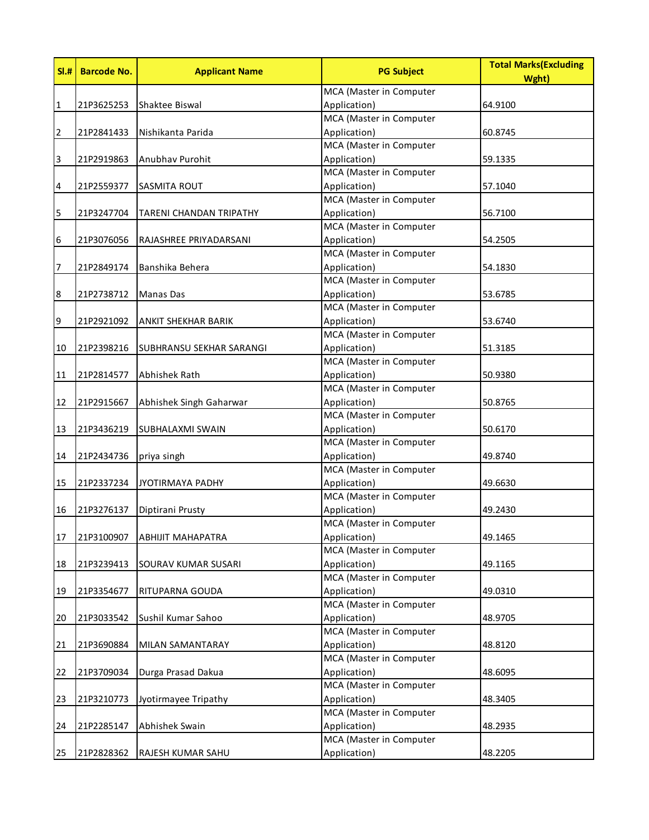| SI.H         | <b>Barcode No.</b> | <b>Applicant Name</b>          | <b>PG Subject</b>       | <b>Total Marks (Excluding</b><br>Wght) |
|--------------|--------------------|--------------------------------|-------------------------|----------------------------------------|
|              |                    |                                | MCA (Master in Computer |                                        |
| $\mathbf{1}$ | 21P3625253         | Shaktee Biswal                 | Application)            | 64.9100                                |
|              |                    |                                | MCA (Master in Computer |                                        |
| 2            | 21P2841433         | Nishikanta Parida              | Application)            | 60.8745                                |
|              |                    |                                | MCA (Master in Computer |                                        |
| 3            | 21P2919863         | Anubhav Purohit                | Application)            | 59.1335                                |
|              |                    |                                | MCA (Master in Computer |                                        |
| 4            | 21P2559377         | <b>SASMITA ROUT</b>            | Application)            | 57.1040                                |
|              |                    |                                | MCA (Master in Computer |                                        |
| 5            | 21P3247704         | <b>TARENI CHANDAN TRIPATHY</b> | Application)            | 56.7100                                |
|              |                    |                                | MCA (Master in Computer |                                        |
| 6            | 21P3076056         | RAJASHREE PRIYADARSANI         | Application)            | 54.2505                                |
|              |                    |                                | MCA (Master in Computer |                                        |
| 7            | 21P2849174         | Banshika Behera                | Application)            | 54.1830                                |
|              |                    |                                | MCA (Master in Computer |                                        |
| 8            | 21P2738712         | <b>Manas Das</b>               | Application)            | 53.6785                                |
|              |                    |                                | MCA (Master in Computer |                                        |
| 9            | 21P2921092         | ANKIT SHEKHAR BARIK            | Application)            | 53.6740                                |
|              |                    |                                | MCA (Master in Computer |                                        |
| 10           | 21P2398216         | SUBHRANSU SEKHAR SARANGI       | Application)            | 51.3185                                |
|              |                    |                                | MCA (Master in Computer |                                        |
| 11           | 21P2814577         | Abhishek Rath                  | Application)            | 50.9380                                |
|              |                    |                                | MCA (Master in Computer |                                        |
| 12           | 21P2915667         | Abhishek Singh Gaharwar        | Application)            | 50.8765                                |
|              |                    |                                | MCA (Master in Computer |                                        |
| 13           | 21P3436219         | SUBHALAXMI SWAIN               | Application)            | 50.6170                                |
|              |                    |                                | MCA (Master in Computer |                                        |
| 14           | 21P2434736         | priya singh                    | Application)            | 49.8740                                |
|              |                    |                                | MCA (Master in Computer |                                        |
| 15           | 21P2337234         | JYOTIRMAYA PADHY               | Application)            | 49.6630                                |
|              |                    |                                | MCA (Master in Computer |                                        |
| 16           | 21P3276137         | Diptirani Prusty               | Application)            | 49.2430                                |
|              |                    |                                | MCA (Master in Computer |                                        |
| 17           | 21P3100907         | <b>ABHIJIT MAHAPATRA</b>       | Application)            | 49.1465                                |
|              |                    |                                | MCA (Master in Computer |                                        |
| 18           | 21P3239413         | SOURAV KUMAR SUSARI            | Application)            | 49.1165                                |
|              |                    |                                | MCA (Master in Computer |                                        |
| 19           | 21P3354677         | RITUPARNA GOUDA                | Application)            | 49.0310                                |
|              |                    |                                | MCA (Master in Computer |                                        |
| 20           | 21P3033542         | Sushil Kumar Sahoo             | Application)            | 48.9705                                |
|              |                    |                                | MCA (Master in Computer |                                        |
| 21           | 21P3690884         | MILAN SAMANTARAY               | Application)            | 48.8120                                |
|              |                    |                                | MCA (Master in Computer |                                        |
| 22           | 21P3709034         | Durga Prasad Dakua             | Application)            | 48.6095                                |
|              |                    |                                | MCA (Master in Computer |                                        |
| 23           | 21P3210773         | Jyotirmayee Tripathy           | Application)            | 48.3405                                |
|              |                    |                                | MCA (Master in Computer |                                        |
| 24           | 21P2285147         | Abhishek Swain                 | Application)            | 48.2935                                |
|              |                    |                                | MCA (Master in Computer |                                        |
| 25           | 21P2828362         | RAJESH KUMAR SAHU              | Application)            | 48.2205                                |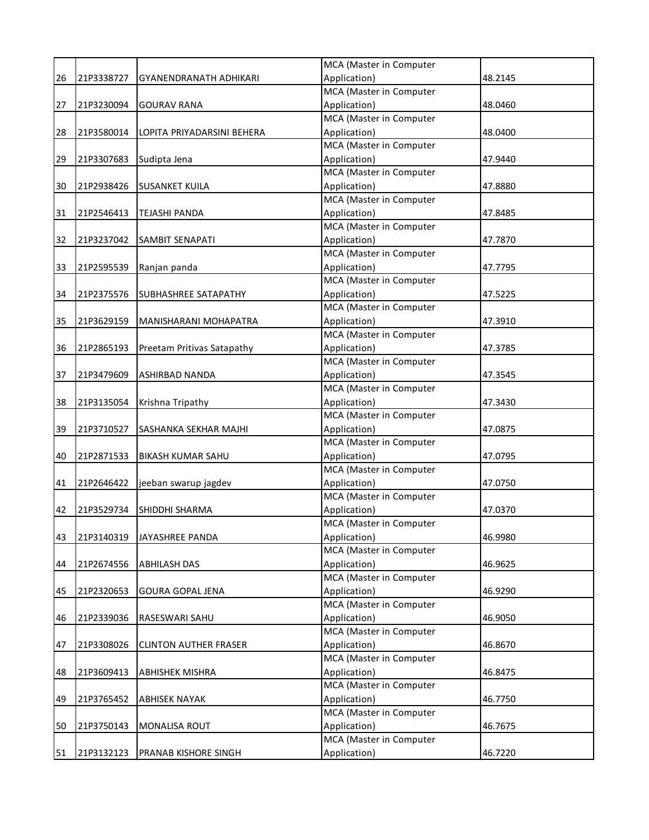|    |            |                              | MCA (Master in Computer                 |         |
|----|------------|------------------------------|-----------------------------------------|---------|
| 26 | 21P3338727 | GYANENDRANATH ADHIKARI       | Application)                            | 48.2145 |
|    |            |                              | MCA (Master in Computer                 |         |
| 27 | 21P3230094 | <b>GOURAV RANA</b>           | Application)                            | 48.0460 |
|    |            |                              | MCA (Master in Computer                 |         |
| 28 | 21P3580014 | LOPITA PRIYADARSINI BEHERA   | Application)                            | 48.0400 |
|    |            |                              | MCA (Master in Computer                 |         |
| 29 | 21P3307683 | Sudipta Jena                 | Application)                            | 47.9440 |
|    |            |                              | MCA (Master in Computer                 |         |
| 30 | 21P2938426 | <b>SUSANKET KUILA</b>        | Application)                            | 47.8880 |
|    |            |                              | MCA (Master in Computer                 |         |
| 31 | 21P2546413 | <b>TEJASHI PANDA</b>         | Application)                            | 47.8485 |
|    |            |                              | MCA (Master in Computer                 |         |
| 32 | 21P3237042 | <b>SAMBIT SENAPATI</b>       | Application)                            | 47.7870 |
|    |            |                              | MCA (Master in Computer                 |         |
| 33 | 21P2595539 | Ranjan panda                 | Application)                            | 47.7795 |
|    |            |                              | MCA (Master in Computer                 |         |
| 34 | 21P2375576 | <b>SUBHASHREE SATAPATHY</b>  | Application)                            | 47.5225 |
|    |            |                              | MCA (Master in Computer                 |         |
| 35 | 21P3629159 | MANISHARANI MOHAPATRA        | Application)                            | 47.3910 |
|    |            |                              | MCA (Master in Computer                 |         |
| 36 | 21P2865193 | Preetam Pritivas Satapathy   | Application)                            | 47.3785 |
|    |            |                              | MCA (Master in Computer                 |         |
| 37 | 21P3479609 | ASHIRBAD NANDA               | Application)                            | 47.3545 |
|    |            |                              | MCA (Master in Computer                 |         |
| 38 | 21P3135054 | Krishna Tripathy             | Application)                            | 47.3430 |
|    |            |                              | MCA (Master in Computer                 |         |
| 39 | 21P3710527 | SASHANKA SEKHAR MAJHI        | Application)                            | 47.0875 |
|    |            |                              | MCA (Master in Computer                 |         |
| 40 | 21P2871533 | <b>BIKASH KUMAR SAHU</b>     | Application)                            | 47.0795 |
|    |            |                              | MCA (Master in Computer                 |         |
| 41 | 21P2646422 | jeeban swarup jagdev         | Application)                            | 47.0750 |
|    |            |                              | MCA (Master in Computer                 |         |
| 42 | 21P3529734 | <b>SHIDDHI SHARMA</b>        | Application)                            | 47.0370 |
|    |            |                              | MCA (Master in Computer                 |         |
| 43 | 21P3140319 | JAYASHREE PANDA              | Application)                            | 46.9980 |
|    |            |                              | MCA (Master in Computer                 |         |
| 44 | 21P2674556 | <b>ABHILASH DAS</b>          | Application)<br>MCA (Master in Computer | 46.9625 |
|    |            |                              | Application)                            | 46.9290 |
| 45 | 21P2320653 | <b>GOURA GOPAL JENA</b>      | MCA (Master in Computer                 |         |
| 46 | 21P2339036 | <b>RASESWARI SAHU</b>        | Application)                            | 46.9050 |
|    |            |                              | MCA (Master in Computer                 |         |
| 47 | 21P3308026 | <b>CLINTON AUTHER FRASER</b> | Application)                            | 46.8670 |
|    |            |                              | MCA (Master in Computer                 |         |
| 48 | 21P3609413 | <b>ABHISHEK MISHRA</b>       | Application)                            | 46.8475 |
|    |            |                              | MCA (Master in Computer                 |         |
| 49 | 21P3765452 | <b>ABHISEK NAYAK</b>         | Application)                            | 46.7750 |
|    |            |                              | MCA (Master in Computer                 |         |
| 50 | 21P3750143 | <b>MONALISA ROUT</b>         | Application)                            | 46.7675 |
|    |            |                              | MCA (Master in Computer                 |         |
| 51 | 21P3132123 | PRANAB KISHORE SINGH         | Application)                            | 46.7220 |
|    |            |                              |                                         |         |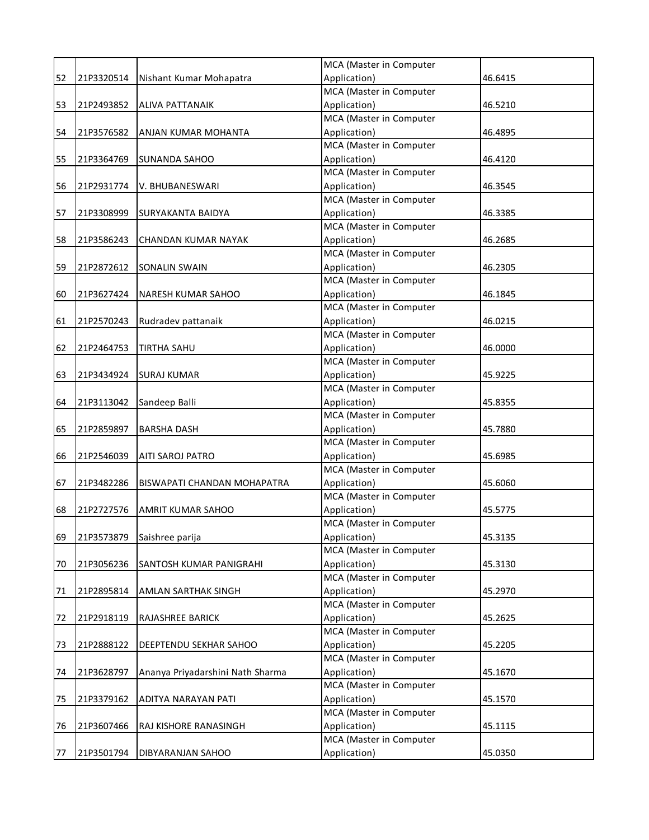|    |            |                                    | MCA (Master in Computer |         |
|----|------------|------------------------------------|-------------------------|---------|
| 52 | 21P3320514 | Nishant Kumar Mohapatra            | Application)            | 46.6415 |
|    |            |                                    | MCA (Master in Computer |         |
| 53 | 21P2493852 | <b>ALIVA PATTANAIK</b>             | Application)            | 46.5210 |
|    |            |                                    | MCA (Master in Computer |         |
| 54 | 21P3576582 | ANJAN KUMAR MOHANTA                | Application)            | 46.4895 |
|    |            |                                    | MCA (Master in Computer |         |
| 55 | 21P3364769 | <b>SUNANDA SAHOO</b>               | Application)            | 46.4120 |
|    |            |                                    | MCA (Master in Computer |         |
| 56 | 21P2931774 | V. BHUBANESWARI                    | Application)            | 46.3545 |
|    |            |                                    | MCA (Master in Computer |         |
| 57 | 21P3308999 | SURYAKANTA BAIDYA                  | Application)            | 46.3385 |
|    |            |                                    | MCA (Master in Computer |         |
| 58 | 21P3586243 | CHANDAN KUMAR NAYAK                | Application)            | 46.2685 |
|    |            |                                    | MCA (Master in Computer |         |
| 59 | 21P2872612 | <b>SONALIN SWAIN</b>               | Application)            | 46.2305 |
|    |            |                                    | MCA (Master in Computer |         |
| 60 | 21P3627424 | <b>NARESH KUMAR SAHOO</b>          | Application)            | 46.1845 |
|    |            |                                    | MCA (Master in Computer |         |
| 61 | 21P2570243 | Rudradev pattanaik                 | Application)            | 46.0215 |
|    |            |                                    | MCA (Master in Computer |         |
| 62 | 21P2464753 | <b>TIRTHA SAHU</b>                 | Application)            | 46.0000 |
|    |            |                                    | MCA (Master in Computer |         |
| 63 | 21P3434924 | <b>SURAJ KUMAR</b>                 | Application)            | 45.9225 |
|    |            |                                    | MCA (Master in Computer |         |
| 64 | 21P3113042 | Sandeep Balli                      | Application)            | 45.8355 |
|    |            |                                    | MCA (Master in Computer |         |
| 65 | 21P2859897 | <b>BARSHA DASH</b>                 | Application)            | 45.7880 |
|    |            |                                    | MCA (Master in Computer |         |
| 66 | 21P2546039 | <b>AITI SAROJ PATRO</b>            | Application)            | 45.6985 |
|    |            |                                    | MCA (Master in Computer |         |
| 67 | 21P3482286 | <b>BISWAPATI CHANDAN MOHAPATRA</b> | Application)            | 45.6060 |
|    |            |                                    | MCA (Master in Computer |         |
| 68 | 21P2727576 | AMRIT KUMAR SAHOO                  | Application)            | 45.5775 |
|    |            |                                    | MCA (Master in Computer |         |
| 69 | 21P3573879 | Saishree parija                    | Application)            | 45.3135 |
|    |            |                                    | MCA (Master in Computer |         |
| 70 | 21P3056236 | SANTOSH KUMAR PANIGRAHI            | Application)            | 45.3130 |
|    |            |                                    | MCA (Master in Computer |         |
| 71 | 21P2895814 | AMLAN SARTHAK SINGH                | Application)            | 45.2970 |
|    |            |                                    | MCA (Master in Computer |         |
| 72 | 21P2918119 | <b>RAJASHREE BARICK</b>            | Application)            | 45.2625 |
|    |            |                                    | MCA (Master in Computer |         |
| 73 | 21P2888122 | <b>DEEPTENDU SEKHAR SAHOO</b>      | Application)            | 45.2205 |
|    |            |                                    | MCA (Master in Computer |         |
| 74 | 21P3628797 | Ananya Priyadarshini Nath Sharma   | Application)            | 45.1670 |
|    |            |                                    | MCA (Master in Computer |         |
| 75 | 21P3379162 | ADITYA NARAYAN PATI                | Application)            | 45.1570 |
|    |            |                                    | MCA (Master in Computer |         |
| 76 | 21P3607466 | RAJ KISHORE RANASINGH              | Application)            | 45.1115 |
|    |            |                                    | MCA (Master in Computer |         |
| 77 | 21P3501794 | <b>DIBYARANJAN SAHOO</b>           | Application)            | 45.0350 |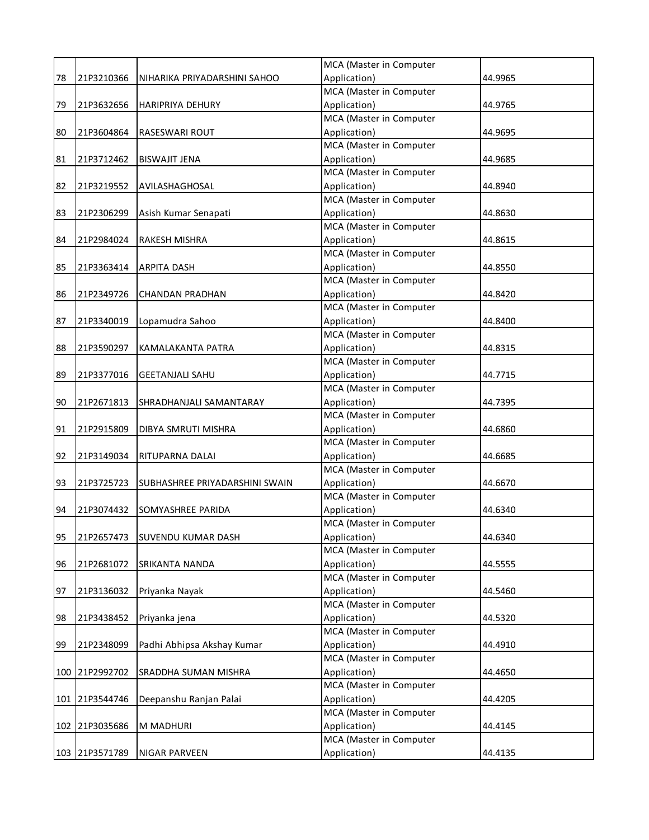|    |                |                                | MCA (Master in Computer                 |         |
|----|----------------|--------------------------------|-----------------------------------------|---------|
| 78 | 21P3210366     | NIHARIKA PRIYADARSHINI SAHOO   | Application)                            | 44.9965 |
|    |                |                                | MCA (Master in Computer                 |         |
| 79 | 21P3632656     | <b>HARIPRIYA DEHURY</b>        | Application)                            | 44.9765 |
|    |                |                                | MCA (Master in Computer                 |         |
| 80 | 21P3604864     | <b>RASESWARI ROUT</b>          | Application)                            | 44.9695 |
|    |                |                                | MCA (Master in Computer                 |         |
| 81 | 21P3712462     | <b>BISWAJIT JENA</b>           | Application)                            | 44.9685 |
|    |                |                                | MCA (Master in Computer                 |         |
| 82 | 21P3219552     | AVILASHAGHOSAL                 | Application)                            | 44.8940 |
|    |                |                                | MCA (Master in Computer                 |         |
| 83 | 21P2306299     | Asish Kumar Senapati           | Application)                            | 44.8630 |
|    |                |                                | MCA (Master in Computer                 |         |
| 84 | 21P2984024     | RAKESH MISHRA                  | Application)                            | 44.8615 |
|    |                |                                | MCA (Master in Computer                 |         |
| 85 | 21P3363414     | <b>ARPITA DASH</b>             | Application)                            | 44.8550 |
|    |                |                                | MCA (Master in Computer                 |         |
| 86 | 21P2349726     | <b>CHANDAN PRADHAN</b>         | Application)                            | 44.8420 |
|    |                |                                | MCA (Master in Computer                 |         |
| 87 | 21P3340019     | Lopamudra Sahoo                | Application)                            | 44.8400 |
|    |                |                                | MCA (Master in Computer                 |         |
| 88 | 21P3590297     | KAMALAKANTA PATRA              | Application)                            | 44.8315 |
|    |                |                                | MCA (Master in Computer                 |         |
| 89 | 21P3377016     | <b>GEETANJALI SAHU</b>         | Application)                            | 44.7715 |
|    |                |                                | MCA (Master in Computer                 |         |
| 90 | 21P2671813     | SHRADHANJALI SAMANTARAY        | Application)                            | 44.7395 |
|    |                |                                | MCA (Master in Computer                 |         |
| 91 | 21P2915809     | DIBYA SMRUTI MISHRA            | Application)                            | 44.6860 |
|    |                |                                | MCA (Master in Computer                 |         |
| 92 | 21P3149034     | RITUPARNA DALAI                | Application)                            | 44.6685 |
|    |                |                                | MCA (Master in Computer                 |         |
| 93 | 21P3725723     | SUBHASHREE PRIYADARSHINI SWAIN | Application)                            | 44.6670 |
|    |                |                                | MCA (Master in Computer                 |         |
| 94 | 21P3074432     | SOMYASHREE PARIDA              | Application)                            | 44.6340 |
|    |                |                                | MCA (Master in Computer                 |         |
| 95 | 21P2657473     | <b>SUVENDU KUMAR DASH</b>      | Application)                            | 44.6340 |
|    |                |                                | MCA (Master in Computer                 |         |
| 96 | 21P2681072     | SRIKANTA NANDA                 | Application)                            | 44.5555 |
|    |                |                                | MCA (Master in Computer                 |         |
| 97 | 21P3136032     | Priyanka Nayak                 | Application)                            | 44.5460 |
|    |                |                                | MCA (Master in Computer                 |         |
| 98 | 21P3438452     | Priyanka jena                  | Application)                            | 44.5320 |
|    |                |                                | MCA (Master in Computer                 |         |
| 99 | 21P2348099     | Padhi Abhipsa Akshay Kumar     | Application)                            | 44.4910 |
|    |                |                                | MCA (Master in Computer                 |         |
|    | 100 21P2992702 | SRADDHA SUMAN MISHRA           | Application)<br>MCA (Master in Computer | 44.4650 |
|    |                |                                |                                         | 44.4205 |
|    | 101 21P3544746 | Deepanshu Ranjan Palai         | Application)<br>MCA (Master in Computer |         |
|    | 102 21P3035686 | M MADHURI                      | Application)                            | 44.4145 |
|    |                |                                | MCA (Master in Computer                 |         |
|    | 103 21P3571789 |                                |                                         |         |
|    |                | <b>NIGAR PARVEEN</b>           | Application)                            | 44.4135 |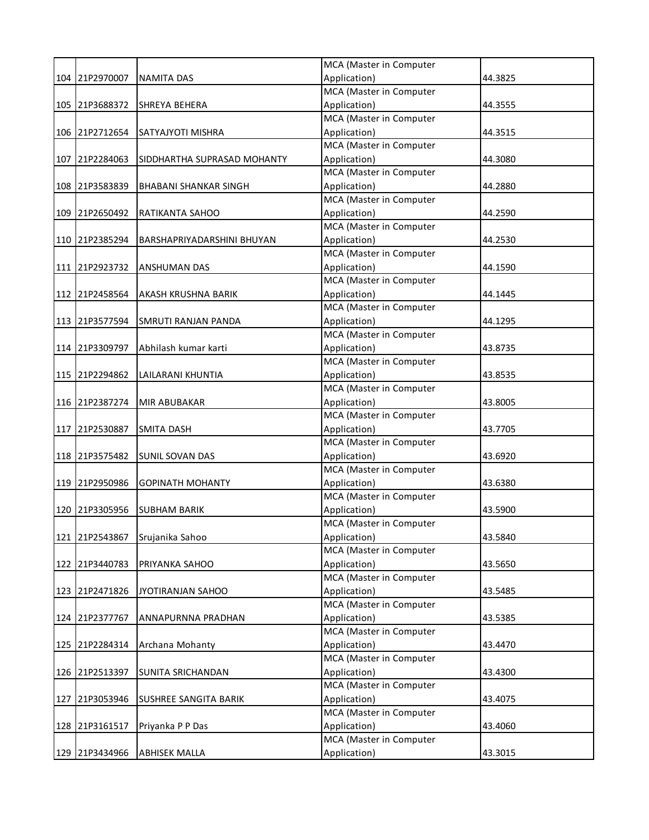|                |                              | MCA (Master in Computer |         |
|----------------|------------------------------|-------------------------|---------|
| 104 21P2970007 | <b>NAMITA DAS</b>            | Application)            | 44.3825 |
|                |                              | MCA (Master in Computer |         |
| 105 21P3688372 | SHREYA BEHERA                | Application)            | 44.3555 |
|                |                              | MCA (Master in Computer |         |
| 106 21P2712654 | SATYAJYOTI MISHRA            | Application)            | 44.3515 |
|                |                              | MCA (Master in Computer |         |
| 107 21P2284063 | SIDDHARTHA SUPRASAD MOHANTY  | Application)            | 44.3080 |
|                |                              | MCA (Master in Computer |         |
| 108 21P3583839 | <b>BHABANI SHANKAR SINGH</b> | Application)            | 44.2880 |
|                |                              | MCA (Master in Computer |         |
| 109 21P2650492 | RATIKANTA SAHOO              | Application)            | 44.2590 |
|                |                              | MCA (Master in Computer |         |
| 110 21P2385294 | BARSHAPRIYADARSHINI BHUYAN   | Application)            | 44.2530 |
|                |                              | MCA (Master in Computer |         |
| 111 21P2923732 | <b>ANSHUMAN DAS</b>          | Application)            | 44.1590 |
|                |                              | MCA (Master in Computer |         |
| 112 21P2458564 | AKASH KRUSHNA BARIK          | Application)            | 44.1445 |
|                |                              | MCA (Master in Computer |         |
| 113 21P3577594 | SMRUTI RANJAN PANDA          | Application)            | 44.1295 |
|                |                              | MCA (Master in Computer |         |
| 114 21P3309797 | Abhilash kumar karti         | Application)            | 43.8735 |
|                |                              | MCA (Master in Computer |         |
| 115 21P2294862 | LAILARANI KHUNTIA            | Application)            | 43.8535 |
|                |                              | MCA (Master in Computer |         |
| 116 21P2387274 | MIR ABUBAKAR                 | Application)            | 43.8005 |
|                |                              | MCA (Master in Computer |         |
| 117 21P2530887 | <b>SMITA DASH</b>            | Application)            | 43.7705 |
|                |                              | MCA (Master in Computer |         |
| 118 21P3575482 | <b>SUNIL SOVAN DAS</b>       | Application)            | 43.6920 |
|                |                              | MCA (Master in Computer |         |
| 119 21P2950986 | <b>GOPINATH MOHANTY</b>      | Application)            | 43.6380 |
|                |                              | MCA (Master in Computer |         |
| 120 21P3305956 | <b>SUBHAM BARIK</b>          | Application)            | 43.5900 |
|                |                              | MCA (Master in Computer |         |
| 121 21P2543867 | Srujanika Sahoo              | Application)            | 43.5840 |
|                |                              | MCA (Master in Computer |         |
| 122 21P3440783 | PRIYANKA SAHOO               | Application)            | 43.5650 |
|                |                              | MCA (Master in Computer |         |
| 123 21P2471826 | JYOTIRANJAN SAHOO            | Application)            | 43.5485 |
|                |                              | MCA (Master in Computer |         |
| 124 21P2377767 | ANNAPURNNA PRADHAN           | Application)            | 43.5385 |
|                |                              | MCA (Master in Computer |         |
| 125 21P2284314 | Archana Mohanty              | Application)            | 43.4470 |
|                |                              | MCA (Master in Computer |         |
| 126 21P2513397 | SUNITA SRICHANDAN            | Application)            | 43.4300 |
|                |                              | MCA (Master in Computer |         |
| 127 21P3053946 | SUSHREE SANGITA BARIK        | Application)            | 43.4075 |
|                |                              | MCA (Master in Computer |         |
| 128 21P3161517 | Priyanka P P Das             | Application)            | 43.4060 |
|                |                              | MCA (Master in Computer |         |
| 129 21P3434966 | <b>ABHISEK MALLA</b>         | Application)            | 43.3015 |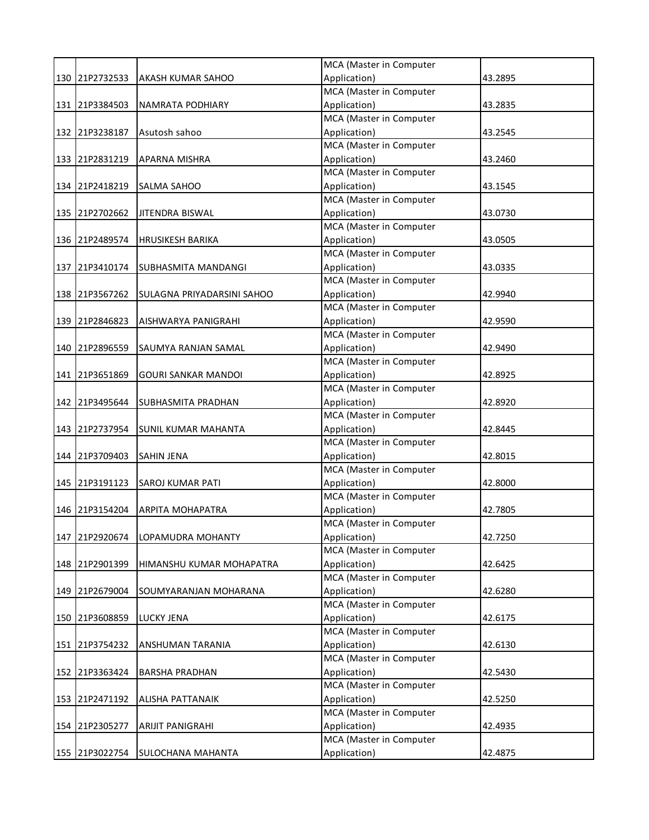|                |                            | MCA (Master in Computer |         |
|----------------|----------------------------|-------------------------|---------|
| 130 21P2732533 | <b>AKASH KUMAR SAHOO</b>   | Application)            | 43.2895 |
|                |                            | MCA (Master in Computer |         |
| 131 21P3384503 | NAMRATA PODHIARY           | Application)            | 43.2835 |
|                |                            | MCA (Master in Computer |         |
| 132 21P3238187 | Asutosh sahoo              | Application)            | 43.2545 |
|                |                            | MCA (Master in Computer |         |
| 133 21P2831219 | APARNA MISHRA              | Application)            | 43.2460 |
|                |                            | MCA (Master in Computer |         |
| 134 21P2418219 | <b>SALMA SAHOO</b>         | Application)            | 43.1545 |
|                |                            | MCA (Master in Computer |         |
| 135 21P2702662 | JITENDRA BISWAL            | Application)            | 43.0730 |
|                |                            | MCA (Master in Computer |         |
| 136 21P2489574 | <b>HRUSIKESH BARIKA</b>    | Application)            | 43.0505 |
|                |                            | MCA (Master in Computer |         |
| 137 21P3410174 | <b>SUBHASMITA MANDANGI</b> | Application)            | 43.0335 |
|                |                            | MCA (Master in Computer |         |
| 138 21P3567262 | SULAGNA PRIYADARSINI SAHOO | Application)            | 42.9940 |
|                |                            | MCA (Master in Computer |         |
| 139 21P2846823 | AISHWARYA PANIGRAHI        | Application)            | 42.9590 |
|                |                            | MCA (Master in Computer |         |
| 140 21P2896559 | SAUMYA RANJAN SAMAL        | Application)            | 42.9490 |
|                |                            | MCA (Master in Computer |         |
| 141 21P3651869 | <b>GOURI SANKAR MANDOI</b> | Application)            | 42.8925 |
|                |                            | MCA (Master in Computer |         |
| 142 21P3495644 | SUBHASMITA PRADHAN         | Application)            | 42.8920 |
|                |                            | MCA (Master in Computer |         |
| 143 21P2737954 | <b>SUNIL KUMAR MAHANTA</b> | Application)            | 42.8445 |
|                |                            | MCA (Master in Computer |         |
| 144 21P3709403 | <b>SAHIN JENA</b>          | Application)            | 42.8015 |
|                |                            | MCA (Master in Computer |         |
| 145 21P3191123 | <b>SAROJ KUMAR PATI</b>    | Application)            | 42.8000 |
|                |                            | MCA (Master in Computer |         |
| 146 21P3154204 | <b>ARPITA MOHAPATRA</b>    | Application)            | 42.7805 |
|                |                            | MCA (Master in Computer |         |
| 147 21P2920674 | LOPAMUDRA MOHANTY          | Application)            | 42.7250 |
|                |                            | MCA (Master in Computer |         |
| 148 21P2901399 | HIMANSHU KUMAR MOHAPATRA   | Application)            | 42.6425 |
|                |                            | MCA (Master in Computer |         |
| 149 21P2679004 | SOUMYARANJAN MOHARANA      | Application)            | 42.6280 |
|                |                            | MCA (Master in Computer |         |
| 150 21P3608859 | LUCKY JENA                 | Application)            | 42.6175 |
|                |                            | MCA (Master in Computer |         |
| 151 21P3754232 | ANSHUMAN TARANIA           | Application)            | 42.6130 |
|                |                            | MCA (Master in Computer |         |
| 152 21P3363424 | <b>BARSHA PRADHAN</b>      | Application)            | 42.5430 |
|                |                            | MCA (Master in Computer |         |
| 153 21P2471192 | ALISHA PATTANAIK           | Application)            | 42.5250 |
|                |                            | MCA (Master in Computer |         |
| 154 21P2305277 | ARIJIT PANIGRAHI           | Application)            | 42.4935 |
|                |                            | MCA (Master in Computer |         |
| 155 21P3022754 | SULOCHANA MAHANTA          | Application)            | 42.4875 |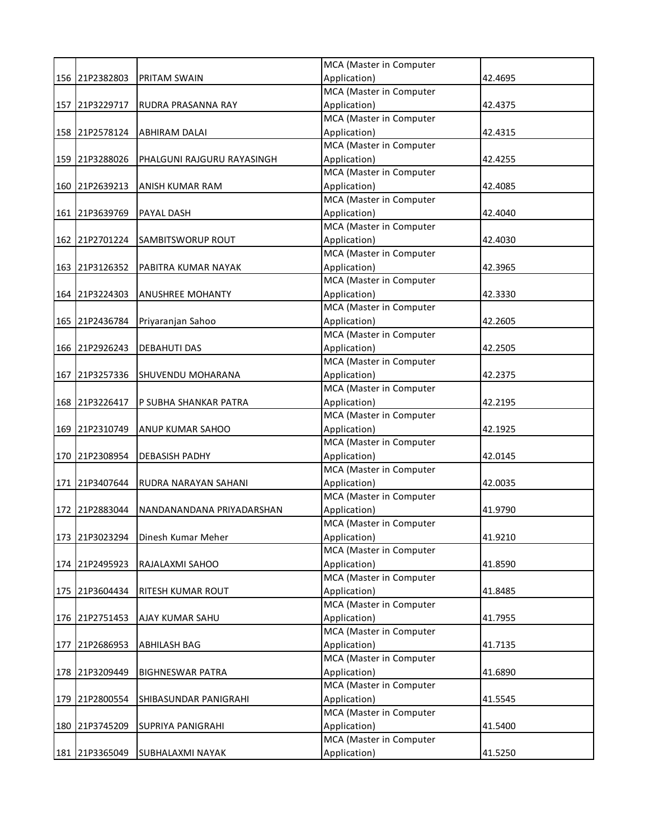|     |                |                            | MCA (Master in Computer                 |         |
|-----|----------------|----------------------------|-----------------------------------------|---------|
|     | 156 21P2382803 | <b>PRITAM SWAIN</b>        | Application)                            | 42.4695 |
|     |                |                            | <b>MCA</b> (Master in Computer          |         |
|     | 157 21P3229717 | RUDRA PRASANNA RAY         | Application)                            | 42.4375 |
|     |                |                            | MCA (Master in Computer                 |         |
|     | 158 21P2578124 | <b>ABHIRAM DALAI</b>       | Application)                            | 42.4315 |
|     |                |                            | MCA (Master in Computer                 |         |
|     | 159 21P3288026 | PHALGUNI RAJGURU RAYASINGH | Application)                            | 42.4255 |
|     |                |                            | MCA (Master in Computer                 |         |
|     | 160 21P2639213 | ANISH KUMAR RAM            | Application)                            | 42.4085 |
|     |                |                            | MCA (Master in Computer                 |         |
|     | 161 21P3639769 | PAYAL DASH                 | Application)                            | 42.4040 |
|     |                |                            | MCA (Master in Computer                 |         |
|     | 162 21P2701224 | SAMBITSWORUP ROUT          | Application)                            | 42.4030 |
|     |                |                            | MCA (Master in Computer                 |         |
|     | 163 21P3126352 | PABITRA KUMAR NAYAK        | Application)                            | 42.3965 |
|     |                |                            | MCA (Master in Computer                 |         |
|     | 164 21P3224303 | ANUSHREE MOHANTY           | Application)                            | 42.3330 |
|     |                |                            | MCA (Master in Computer                 |         |
|     | 165 21P2436784 | Priyaranjan Sahoo          | Application)                            | 42.2605 |
|     |                |                            | MCA (Master in Computer                 |         |
|     | 166 21P2926243 | <b>DEBAHUTI DAS</b>        | Application)                            | 42.2505 |
|     |                |                            | MCA (Master in Computer                 |         |
|     | 167 21P3257336 | SHUVENDU MOHARANA          | Application)                            | 42.2375 |
|     |                |                            | MCA (Master in Computer                 |         |
|     | 168 21P3226417 | P SUBHA SHANKAR PATRA      | Application)                            | 42.2195 |
|     |                |                            | MCA (Master in Computer                 |         |
|     | 169 21P2310749 | ANUP KUMAR SAHOO           | Application)                            | 42.1925 |
|     |                |                            | MCA (Master in Computer                 |         |
|     | 170 21P2308954 | <b>DEBASISH PADHY</b>      | Application)                            | 42.0145 |
|     |                |                            | MCA (Master in Computer                 |         |
|     | 171 21P3407644 | RUDRA NARAYAN SAHANI       | Application)                            | 42.0035 |
|     |                |                            | MCA (Master in Computer                 |         |
|     | 172 21P2883044 | NANDANANDANA PRIYADARSHAN  | Application)                            | 41.9790 |
|     |                |                            | MCA (Master in Computer                 |         |
|     | 173 21P3023294 | Dinesh Kumar Meher         | Application)                            | 41.9210 |
|     |                |                            | MCA (Master in Computer                 |         |
|     | 174 21P2495923 | RAJALAXMI SAHOO            | Application)                            | 41.8590 |
|     |                |                            | MCA (Master in Computer                 |         |
|     | 175 21P3604434 | RITESH KUMAR ROUT          | Application)                            | 41.8485 |
|     |                |                            | MCA (Master in Computer                 |         |
|     | 176 21P2751453 | AJAY KUMAR SAHU            | Application)                            | 41.7955 |
|     |                |                            | MCA (Master in Computer                 |         |
|     | 177 21P2686953 | ABHILASH BAG               | Application)                            | 41.7135 |
|     |                |                            | MCA (Master in Computer                 |         |
|     | 178 21P3209449 | <b>BIGHNESWAR PATRA</b>    | Application)                            | 41.6890 |
|     |                |                            | MCA (Master in Computer                 |         |
| 179 | 21P2800554     | SHIBASUNDAR PANIGRAHI      | Application)                            | 41.5545 |
|     |                |                            | MCA (Master in Computer<br>Application) |         |
|     | 180 21P3745209 | <b>SUPRIYA PANIGRAHI</b>   | MCA (Master in Computer                 | 41.5400 |
|     |                |                            |                                         |         |
|     | 181 21P3365049 | SUBHALAXMI NAYAK           | Application)                            | 41.5250 |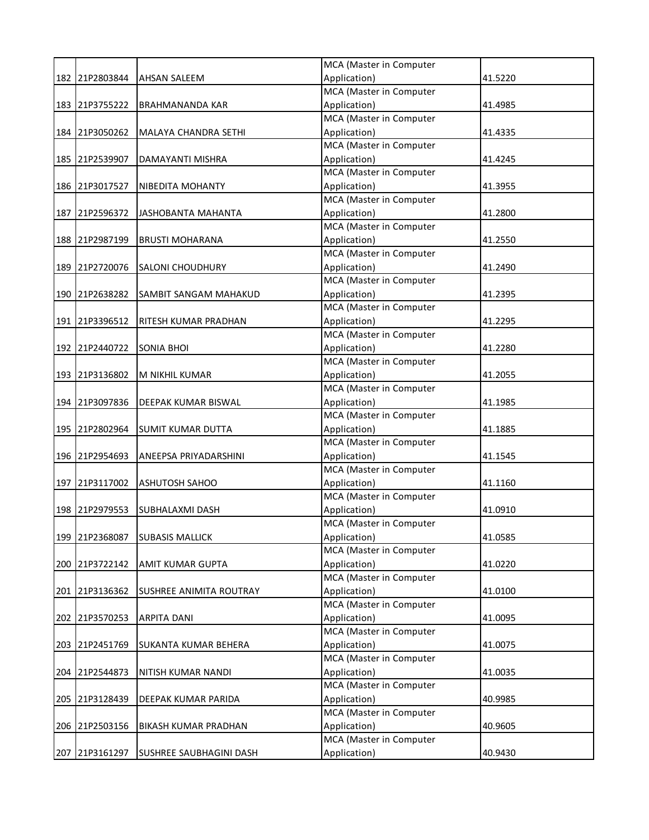|     |                |                             | MCA (Master in Computer |         |
|-----|----------------|-----------------------------|-------------------------|---------|
|     | 182 21P2803844 | <b>AHSAN SALEEM</b>         | Application)            | 41.5220 |
|     |                |                             | MCA (Master in Computer |         |
|     | 183 21P3755222 | <b>BRAHMANANDA KAR</b>      | Application)            | 41.4985 |
|     |                |                             | MCA (Master in Computer |         |
|     | 184 21P3050262 | <b>MALAYA CHANDRA SETHI</b> | Application)            | 41.4335 |
|     |                |                             | MCA (Master in Computer |         |
|     | 185 21P2539907 | DAMAYANTI MISHRA            | Application)            | 41.4245 |
|     |                |                             | MCA (Master in Computer |         |
|     | 186 21P3017527 | NIBEDITA MOHANTY            | Application)            | 41.3955 |
|     |                |                             | MCA (Master in Computer |         |
|     | 187 21P2596372 | JASHOBANTA MAHANTA          | Application)            | 41.2800 |
|     |                |                             | MCA (Master in Computer |         |
|     | 188 21P2987199 | <b>BRUSTI MOHARANA</b>      | Application)            | 41.2550 |
|     |                |                             | MCA (Master in Computer |         |
|     | 189 21P2720076 | <b>SALONI CHOUDHURY</b>     | Application)            | 41.2490 |
|     |                |                             | MCA (Master in Computer |         |
|     | 190 21P2638282 | SAMBIT SANGAM MAHAKUD       | Application)            | 41.2395 |
|     |                |                             | MCA (Master in Computer |         |
|     | 191 21P3396512 | RITESH KUMAR PRADHAN        | Application)            | 41.2295 |
|     |                |                             | MCA (Master in Computer |         |
|     | 192 21P2440722 | <b>SONIA BHOI</b>           | Application)            | 41.2280 |
|     |                |                             | MCA (Master in Computer |         |
|     | 193 21P3136802 | M NIKHIL KUMAR              | Application)            | 41.2055 |
|     |                |                             | MCA (Master in Computer |         |
|     | 194 21P3097836 | DEEPAK KUMAR BISWAL         | Application)            | 41.1985 |
|     |                |                             | MCA (Master in Computer |         |
|     | 195 21P2802964 | <b>SUMIT KUMAR DUTTA</b>    | Application)            | 41.1885 |
|     |                |                             | MCA (Master in Computer |         |
|     | 196 21P2954693 | ANEEPSA PRIYADARSHINI       | Application)            | 41.1545 |
|     |                |                             | MCA (Master in Computer |         |
|     | 197 21P3117002 | <b>ASHUTOSH SAHOO</b>       | Application)            | 41.1160 |
|     |                |                             | MCA (Master in Computer |         |
|     | 198 21P2979553 | SUBHALAXMI DASH             | Application)            | 41.0910 |
|     |                |                             | MCA (Master in Computer |         |
|     | 199 21P2368087 | <b>SUBASIS MALLICK</b>      | Application)            | 41.0585 |
|     |                |                             | MCA (Master in Computer |         |
|     | 200 21P3722142 | AMIT KUMAR GUPTA            | Application)            | 41.0220 |
|     |                |                             | MCA (Master in Computer |         |
|     | 201 21P3136362 | SUSHREE ANIMITA ROUTRAY     | Application)            | 41.0100 |
|     |                |                             | MCA (Master in Computer |         |
|     | 202 21P3570253 | <b>ARPITA DANI</b>          | Application)            | 41.0095 |
|     |                |                             | MCA (Master in Computer |         |
|     | 203 21P2451769 | SUKANTA KUMAR BEHERA        | Application)            | 41.0075 |
|     |                |                             | MCA (Master in Computer |         |
|     | 204 21P2544873 | NITISH KUMAR NANDI          | Application)            | 41.0035 |
|     |                |                             | MCA (Master in Computer |         |
| 205 | 21P3128439     | DEEPAK KUMAR PARIDA         | Application)            | 40.9985 |
|     |                |                             | MCA (Master in Computer |         |
|     | 206 21P2503156 | BIKASH KUMAR PRADHAN        | Application)            | 40.9605 |
|     |                |                             | MCA (Master in Computer |         |
| 207 | 21P3161297     | SUSHREE SAUBHAGINI DASH     | Application)            | 40.9430 |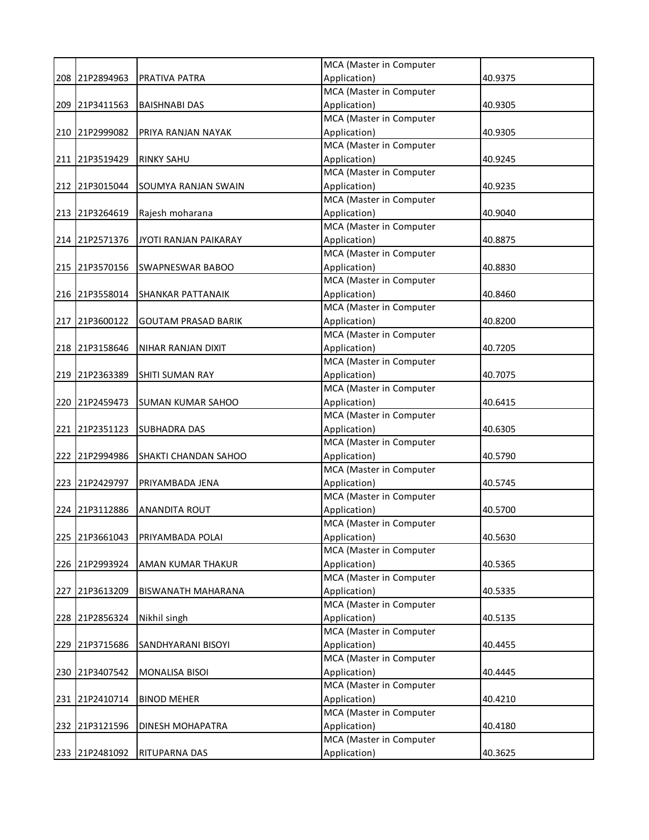|                |                             | MCA (Master in Computer |         |
|----------------|-----------------------------|-------------------------|---------|
| 208 21P2894963 | PRATIVA PATRA               | Application)            | 40.9375 |
|                |                             | MCA (Master in Computer |         |
| 209 21P3411563 | <b>BAISHNABI DAS</b>        | Application)            | 40.9305 |
|                |                             | MCA (Master in Computer |         |
| 210 21P2999082 | PRIYA RANJAN NAYAK          | Application)            | 40.9305 |
|                |                             | MCA (Master in Computer |         |
| 211 21P3519429 | <b>RINKY SAHU</b>           | Application)            | 40.9245 |
|                |                             | MCA (Master in Computer |         |
| 212 21P3015044 | <b>SOUMYA RANJAN SWAIN</b>  | Application)            | 40.9235 |
|                |                             | MCA (Master in Computer |         |
| 213 21P3264619 | Rajesh moharana             | Application)            | 40.9040 |
|                |                             | MCA (Master in Computer |         |
| 214 21P2571376 | JYOTI RANJAN PAIKARAY       | Application)            | 40.8875 |
|                |                             | MCA (Master in Computer |         |
| 215 21P3570156 | <b>SWAPNESWAR BABOO</b>     | Application)            | 40.8830 |
|                |                             | MCA (Master in Computer |         |
| 216 21P3558014 | <b>SHANKAR PATTANAIK</b>    | Application)            | 40.8460 |
|                |                             | MCA (Master in Computer |         |
| 217 21P3600122 | <b>GOUTAM PRASAD BARIK</b>  | Application)            | 40.8200 |
|                |                             | MCA (Master in Computer |         |
| 218 21P3158646 | NIHAR RANJAN DIXIT          | Application)            | 40.7205 |
|                |                             | MCA (Master in Computer |         |
| 219 21P2363389 | SHITI SUMAN RAY             | Application)            | 40.7075 |
|                |                             | MCA (Master in Computer |         |
| 220 21P2459473 | <b>SUMAN KUMAR SAHOO</b>    | Application)            | 40.6415 |
|                |                             | MCA (Master in Computer |         |
| 221 21P2351123 | <b>SUBHADRA DAS</b>         | Application)            | 40.6305 |
|                |                             | MCA (Master in Computer |         |
| 222 21P2994986 | <b>SHAKTI CHANDAN SAHOO</b> | Application)            | 40.5790 |
|                |                             | MCA (Master in Computer |         |
| 223 21P2429797 | PRIYAMBADA JENA             | Application)            | 40.5745 |
|                |                             | MCA (Master in Computer |         |
| 224 21P3112886 | <b>ANANDITA ROUT</b>        | Application)            | 40.5700 |
|                |                             | MCA (Master in Computer |         |
| 225 21P3661043 | PRIYAMBADA POLAI            | Application)            | 40.5630 |
|                |                             | MCA (Master in Computer |         |
| 226 21P2993924 | AMAN KUMAR THAKUR           | Application)            | 40.5365 |
|                |                             | MCA (Master in Computer |         |
| 227 21P3613209 | BISWANATH MAHARANA          | Application)            | 40.5335 |
|                |                             | MCA (Master in Computer |         |
| 228 21P2856324 | Nikhil singh                | Application)            | 40.5135 |
|                |                             | MCA (Master in Computer |         |
| 229 21P3715686 | SANDHYARANI BISOYI          | Application)            | 40.4455 |
|                |                             | MCA (Master in Computer |         |
| 230 21P3407542 | MONALISA BISOI              | Application)            | 40.4445 |
|                |                             | MCA (Master in Computer |         |
| 231 21P2410714 | <b>BINOD MEHER</b>          | Application)            | 40.4210 |
|                |                             | MCA (Master in Computer |         |
| 232 21P3121596 | DINESH MOHAPATRA            | Application)            | 40.4180 |
|                |                             | MCA (Master in Computer |         |
| 233 21P2481092 | <b>RITUPARNA DAS</b>        | Application)            | 40.3625 |
|                |                             |                         |         |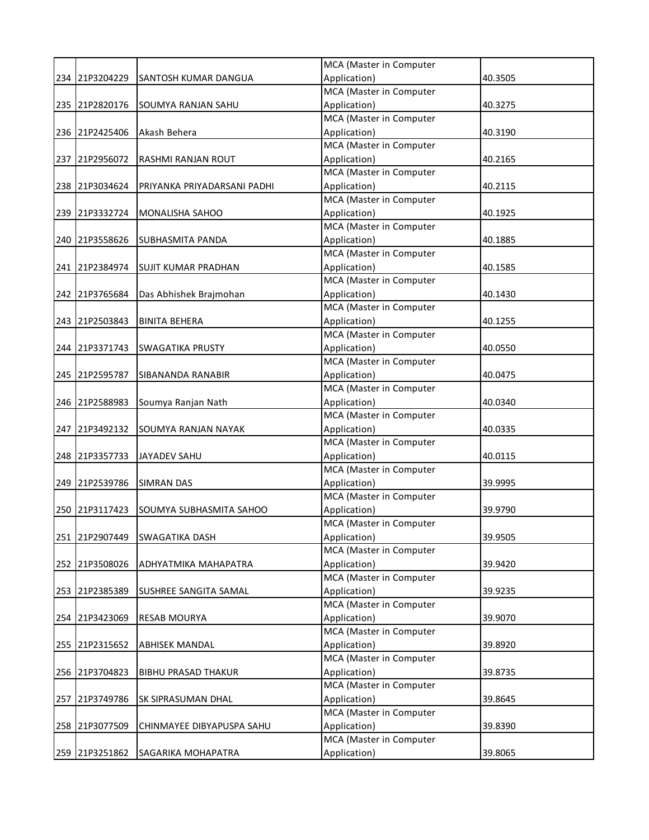|                |                             | MCA (Master in Computer |         |
|----------------|-----------------------------|-------------------------|---------|
| 234 21P3204229 | <b>SANTOSH KUMAR DANGUA</b> | Application)            | 40.3505 |
|                |                             | MCA (Master in Computer |         |
| 235 21P2820176 | SOUMYA RANJAN SAHU          | Application)            | 40.3275 |
|                |                             | MCA (Master in Computer |         |
| 236 21P2425406 | Akash Behera                | Application)            | 40.3190 |
|                |                             | MCA (Master in Computer |         |
| 237 21P2956072 | <b>RASHMI RANJAN ROUT</b>   | Application)            | 40.2165 |
|                |                             | MCA (Master in Computer |         |
| 238 21P3034624 | PRIYANKA PRIYADARSANI PADHI | Application)            | 40.2115 |
|                |                             | MCA (Master in Computer |         |
| 239 21P3332724 | <b>MONALISHA SAHOO</b>      | Application)            | 40.1925 |
|                |                             | MCA (Master in Computer |         |
| 240 21P3558626 | SUBHASMITA PANDA            | Application)            | 40.1885 |
|                |                             | MCA (Master in Computer |         |
| 241 21P2384974 | <b>SUJIT KUMAR PRADHAN</b>  | Application)            | 40.1585 |
|                |                             | MCA (Master in Computer |         |
| 242 21P3765684 | Das Abhishek Brajmohan      | Application)            | 40.1430 |
|                |                             | MCA (Master in Computer |         |
| 243 21P2503843 | <b>BINITA BEHERA</b>        | Application)            | 40.1255 |
|                |                             | MCA (Master in Computer |         |
| 244 21P3371743 | <b>SWAGATIKA PRUSTY</b>     | Application)            | 40.0550 |
|                |                             | MCA (Master in Computer |         |
| 245 21P2595787 | SIBANANDA RANABIR           | Application)            | 40.0475 |
|                |                             | MCA (Master in Computer |         |
| 246 21P2588983 | Soumya Ranjan Nath          | Application)            | 40.0340 |
|                |                             | MCA (Master in Computer |         |
| 247 21P3492132 | SOUMYA RANJAN NAYAK         | Application)            | 40.0335 |
|                |                             | MCA (Master in Computer |         |
| 248 21P3357733 | <b>JAYADEV SAHU</b>         | Application)            | 40.0115 |
|                |                             | MCA (Master in Computer |         |
| 249 21P2539786 | <b>SIMRAN DAS</b>           | Application)            | 39.9995 |
|                |                             | MCA (Master in Computer |         |
| 250 21P3117423 | SOUMYA SUBHASMITA SAHOO     | Application)            | 39.9790 |
|                |                             | MCA (Master in Computer |         |
| 251 21P2907449 | <b>SWAGATIKA DASH</b>       | Application)            | 39.9505 |
|                |                             | MCA (Master in Computer |         |
| 252 21P3508026 | ADHYATMIKA MAHAPATRA        | Application)            | 39.9420 |
|                |                             | MCA (Master in Computer |         |
| 253 21P2385389 | SUSHREE SANGITA SAMAL       | Application)            | 39.9235 |
|                |                             | MCA (Master in Computer |         |
| 254 21P3423069 | <b>RESAB MOURYA</b>         | Application)            | 39.9070 |
|                |                             | MCA (Master in Computer |         |
| 255 21P2315652 | <b>ABHISEK MANDAL</b>       | Application)            | 39.8920 |
|                |                             | MCA (Master in Computer |         |
| 256 21P3704823 | <b>BIBHU PRASAD THAKUR</b>  | Application)            | 39.8735 |
|                |                             | MCA (Master in Computer |         |
| 257 21P3749786 | SK SIPRASUMAN DHAL          | Application)            | 39.8645 |
|                |                             | MCA (Master in Computer |         |
| 258 21P3077509 | CHINMAYEE DIBYAPUSPA SAHU   | Application)            | 39.8390 |
|                |                             | MCA (Master in Computer |         |
| 259 21P3251862 | SAGARIKA MOHAPATRA          | Application)            | 39.8065 |
|                |                             |                         |         |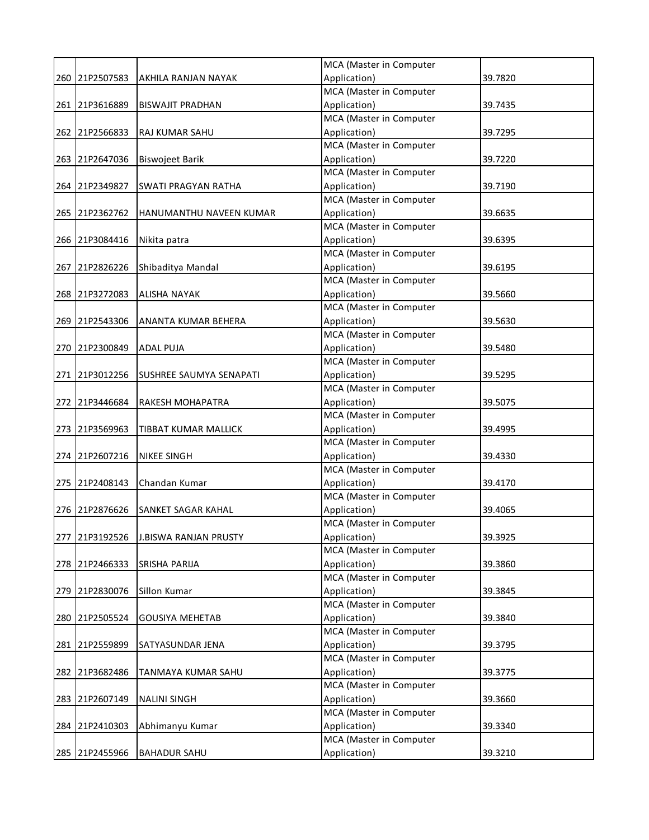|     |                |                              | MCA (Master in Computer |         |
|-----|----------------|------------------------------|-------------------------|---------|
|     | 260 21P2507583 | AKHILA RANJAN NAYAK          | Application)            | 39.7820 |
|     |                |                              | MCA (Master in Computer |         |
|     | 261 21P3616889 | <b>BISWAJIT PRADHAN</b>      | Application)            | 39.7435 |
|     |                |                              | MCA (Master in Computer |         |
|     | 262 21P2566833 | RAJ KUMAR SAHU               | Application)            | 39.7295 |
|     |                |                              | MCA (Master in Computer |         |
|     | 263 21P2647036 | <b>Biswojeet Barik</b>       | Application)            | 39.7220 |
|     |                |                              | MCA (Master in Computer |         |
|     | 264 21P2349827 | <b>SWATI PRAGYAN RATHA</b>   | Application)            | 39.7190 |
|     |                |                              | MCA (Master in Computer |         |
|     | 265 21P2362762 | HANUMANTHU NAVEEN KUMAR      | Application)            | 39.6635 |
|     |                |                              | MCA (Master in Computer |         |
|     | 266 21P3084416 | Nikita patra                 | Application)            | 39.6395 |
|     |                |                              | MCA (Master in Computer |         |
|     | 267 21P2826226 | Shibaditya Mandal            | Application)            | 39.6195 |
|     |                |                              | MCA (Master in Computer |         |
|     | 268 21P3272083 | <b>ALISHA NAYAK</b>          | Application)            | 39.5660 |
|     |                |                              | MCA (Master in Computer |         |
|     | 269 21P2543306 | ANANTA KUMAR BEHERA          | Application)            | 39.5630 |
|     |                |                              | MCA (Master in Computer |         |
|     | 270 21P2300849 | ADAL PUJA                    | Application)            | 39.5480 |
|     |                |                              | MCA (Master in Computer |         |
|     | 271 21P3012256 | SUSHREE SAUMYA SENAPATI      | Application)            | 39.5295 |
|     |                |                              | MCA (Master in Computer |         |
|     | 272 21P3446684 | RAKESH MOHAPATRA             | Application)            | 39.5075 |
|     |                |                              | MCA (Master in Computer |         |
|     | 273 21P3569963 | TIBBAT KUMAR MALLICK         | Application)            | 39.4995 |
|     |                |                              | MCA (Master in Computer |         |
|     | 274 21P2607216 | <b>NIKEE SINGH</b>           | Application)            | 39.4330 |
|     |                |                              | MCA (Master in Computer |         |
|     | 275 21P2408143 | Chandan Kumar                | Application)            | 39.4170 |
|     |                |                              | MCA (Master in Computer |         |
|     | 276 21P2876626 | SANKET SAGAR KAHAL           | Application)            | 39.4065 |
|     |                |                              | MCA (Master in Computer |         |
|     | 277 21P3192526 | <b>J.BISWA RANJAN PRUSTY</b> | Application)            | 39.3925 |
|     |                |                              | MCA (Master in Computer |         |
|     | 278 21P2466333 | SRISHA PARIJA                | Application)            | 39.3860 |
|     |                |                              | MCA (Master in Computer |         |
|     | 279 21P2830076 | Sillon Kumar                 | Application)            | 39.3845 |
|     |                |                              | MCA (Master in Computer |         |
|     | 280 21P2505524 | <b>GOUSIYA MEHETAB</b>       | Application)            | 39.3840 |
|     |                |                              | MCA (Master in Computer |         |
|     | 281 21P2559899 | SATYASUNDAR JENA             | Application)            | 39.3795 |
|     |                |                              | MCA (Master in Computer |         |
|     | 282 21P3682486 | TANMAYA KUMAR SAHU           | Application)            | 39.3775 |
|     |                |                              | MCA (Master in Computer |         |
| 283 | 21P2607149     | <b>NALINI SINGH</b>          | Application)            | 39.3660 |
|     |                |                              | MCA (Master in Computer |         |
|     | 284 21P2410303 | Abhimanyu Kumar              | Application)            | 39.3340 |
|     |                |                              | MCA (Master in Computer |         |
|     | 285 21P2455966 | <b>BAHADUR SAHU</b>          | Application)            | 39.3210 |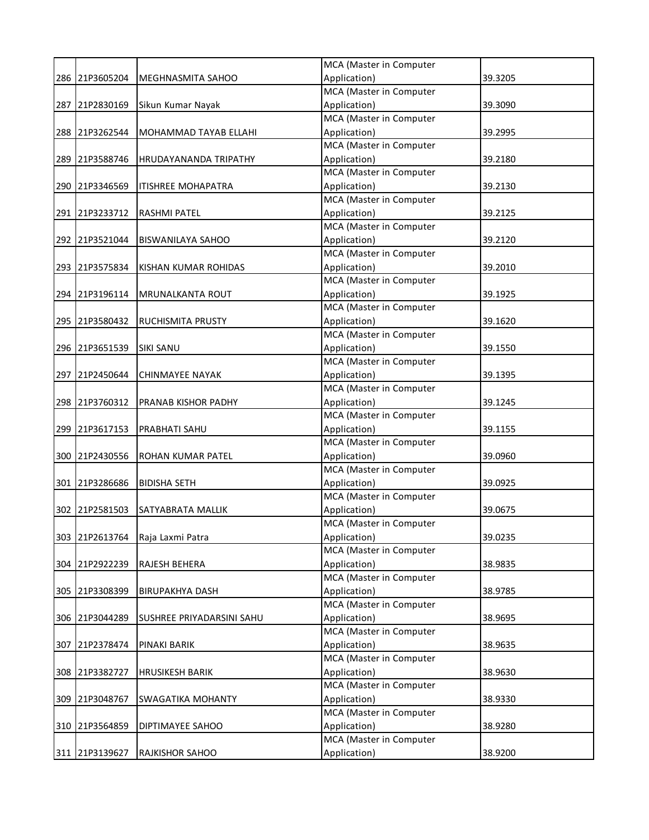|                |                           | MCA (Master in Computer |         |
|----------------|---------------------------|-------------------------|---------|
| 286 21P3605204 | MEGHNASMITA SAHOO         | Application)            | 39.3205 |
|                |                           | MCA (Master in Computer |         |
| 287 21P2830169 | Sikun Kumar Nayak         | Application)            | 39.3090 |
|                |                           | MCA (Master in Computer |         |
| 288 21P3262544 | MOHAMMAD TAYAB ELLAHI     | Application)            | 39.2995 |
|                |                           | MCA (Master in Computer |         |
| 289 21P3588746 | HRUDAYANANDA TRIPATHY     | Application)            | 39.2180 |
|                |                           | MCA (Master in Computer |         |
| 290 21P3346569 | <b>ITISHREE MOHAPATRA</b> | Application)            | 39.2130 |
|                |                           | MCA (Master in Computer |         |
| 291 21P3233712 | RASHMI PATEL              | Application)            | 39.2125 |
|                |                           | MCA (Master in Computer |         |
| 292 21P3521044 | <b>BISWANILAYA SAHOO</b>  | Application)            | 39.2120 |
|                |                           | MCA (Master in Computer |         |
| 293 21P3575834 | KISHAN KUMAR ROHIDAS      | Application)            | 39.2010 |
|                |                           | MCA (Master in Computer |         |
| 294 21P3196114 | <b>MRUNALKANTA ROUT</b>   | Application)            | 39.1925 |
|                |                           | MCA (Master in Computer |         |
| 295 21P3580432 | RUCHISMITA PRUSTY         | Application)            | 39.1620 |
|                |                           | MCA (Master in Computer |         |
| 296 21P3651539 | <b>SIKI SANU</b>          | Application)            | 39.1550 |
|                |                           | MCA (Master in Computer |         |
| 297 21P2450644 | <b>CHINMAYEE NAYAK</b>    | Application)            | 39.1395 |
|                |                           | MCA (Master in Computer |         |
| 298 21P3760312 | PRANAB KISHOR PADHY       | Application)            | 39.1245 |
|                |                           | MCA (Master in Computer |         |
| 299 21P3617153 | PRABHATI SAHU             | Application)            | 39.1155 |
|                |                           | MCA (Master in Computer |         |
| 300 21P2430556 | ROHAN KUMAR PATEL         | Application)            | 39.0960 |
|                |                           | MCA (Master in Computer |         |
| 301 21P3286686 | <b>BIDISHA SETH</b>       | Application)            | 39.0925 |
|                |                           | MCA (Master in Computer |         |
| 302 21P2581503 | SATYABRATA MALLIK         | Application)            | 39.0675 |
|                |                           | MCA (Master in Computer |         |
| 303 21P2613764 | Raja Laxmi Patra          | Application)            | 39.0235 |
|                |                           | MCA (Master in Computer |         |
| 304 21P2922239 | RAJESH BEHERA             | Application)            | 38.9835 |
|                |                           | MCA (Master in Computer |         |
| 305 21P3308399 | <b>BIRUPAKHYA DASH</b>    | Application)            | 38.9785 |
|                |                           | MCA (Master in Computer |         |
| 306 21P3044289 | SUSHREE PRIYADARSINI SAHU | Application)            | 38.9695 |
|                |                           | MCA (Master in Computer |         |
| 307 21P2378474 | PINAKI BARIK              | Application)            | 38.9635 |
|                |                           | MCA (Master in Computer |         |
| 308 21P3382727 | <b>HRUSIKESH BARIK</b>    | Application)            | 38.9630 |
|                |                           | MCA (Master in Computer |         |
| 309 21P3048767 | SWAGATIKA MOHANTY         | Application)            | 38.9330 |
|                |                           | MCA (Master in Computer |         |
| 310 21P3564859 | DIPTIMAYEE SAHOO          | Application)            | 38.9280 |
|                |                           | MCA (Master in Computer |         |
| 311 21P3139627 | <b>RAJKISHOR SAHOO</b>    | Application)            | 38.9200 |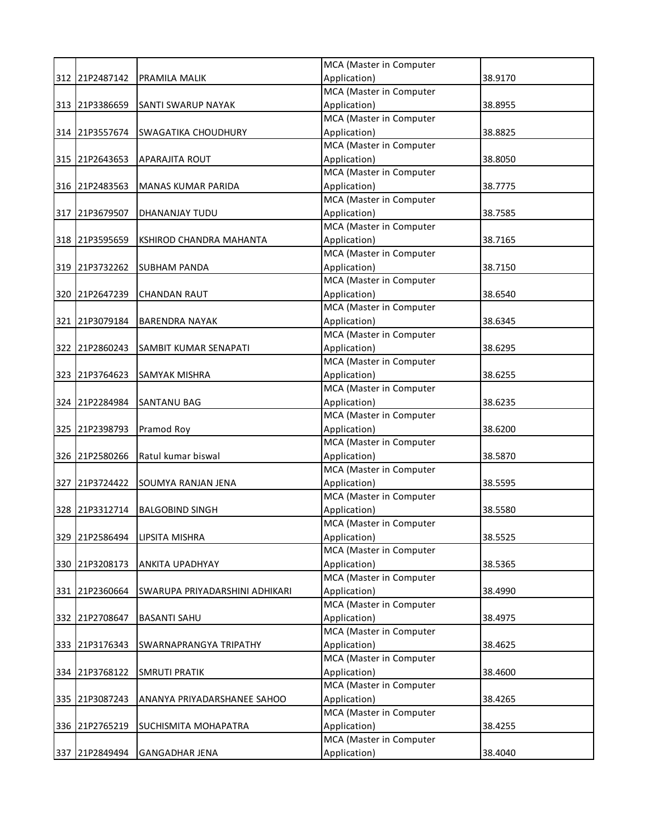|     |                |                                | MCA (Master in Computer |         |
|-----|----------------|--------------------------------|-------------------------|---------|
|     | 312 21P2487142 | PRAMILA MALIK                  | Application)            | 38.9170 |
|     |                |                                | MCA (Master in Computer |         |
|     | 313 21P3386659 | SANTI SWARUP NAYAK             | Application)            | 38.8955 |
|     |                |                                | MCA (Master in Computer |         |
|     | 314 21P3557674 | SWAGATIKA CHOUDHURY            | Application)            | 38.8825 |
|     |                |                                | MCA (Master in Computer |         |
|     | 315 21P2643653 | APARAJITA ROUT                 | Application)            | 38.8050 |
|     |                |                                | MCA (Master in Computer |         |
|     | 316 21P2483563 | <b>MANAS KUMAR PARIDA</b>      | Application)            | 38.7775 |
|     |                |                                | MCA (Master in Computer |         |
|     | 317 21P3679507 | DHANANJAY TUDU                 | Application)            | 38.7585 |
|     |                |                                | MCA (Master in Computer |         |
|     | 318 21P3595659 | KSHIROD CHANDRA MAHANTA        | Application)            | 38.7165 |
|     |                |                                | MCA (Master in Computer |         |
|     | 319 21P3732262 | <b>SUBHAM PANDA</b>            | Application)            | 38.7150 |
|     |                |                                | MCA (Master in Computer |         |
|     | 320 21P2647239 | <b>CHANDAN RAUT</b>            | Application)            | 38.6540 |
|     |                |                                | MCA (Master in Computer |         |
|     | 321 21P3079184 | <b>BARENDRA NAYAK</b>          | Application)            | 38.6345 |
|     |                |                                | MCA (Master in Computer |         |
|     | 322 21P2860243 | SAMBIT KUMAR SENAPATI          | Application)            | 38.6295 |
|     |                |                                | MCA (Master in Computer |         |
|     | 323 21P3764623 | SAMYAK MISHRA                  | Application)            | 38.6255 |
|     |                |                                | MCA (Master in Computer |         |
|     | 324 21P2284984 | SANTANU BAG                    | Application)            | 38.6235 |
|     |                |                                | MCA (Master in Computer |         |
|     | 325 21P2398793 | Pramod Roy                     | Application)            | 38.6200 |
|     |                |                                | MCA (Master in Computer |         |
|     | 326 21P2580266 | Ratul kumar biswal             | Application)            | 38.5870 |
|     |                |                                | MCA (Master in Computer |         |
|     | 327 21P3724422 | SOUMYA RANJAN JENA             | Application)            | 38.5595 |
|     |                |                                | MCA (Master in Computer |         |
|     | 328 21P3312714 | <b>BALGOBIND SINGH</b>         | Application)            | 38.5580 |
|     |                |                                | MCA (Master in Computer |         |
|     | 329 21P2586494 | LIPSITA MISHRA                 | Application)            | 38.5525 |
|     |                |                                | MCA (Master in Computer |         |
|     | 330 21P3208173 | ANKITA UPADHYAY                | Application)            | 38.5365 |
|     |                |                                | MCA (Master in Computer |         |
|     | 331 21P2360664 | SWARUPA PRIYADARSHINI ADHIKARI | Application)            | 38.4990 |
|     |                |                                | MCA (Master in Computer |         |
|     | 332 21P2708647 | <b>BASANTI SAHU</b>            | Application)            | 38.4975 |
|     |                |                                | MCA (Master in Computer |         |
|     | 333 21P3176343 | SWARNAPRANGYA TRIPATHY         | Application)            | 38.4625 |
|     |                |                                | MCA (Master in Computer |         |
|     | 334 21P3768122 | <b>SMRUTI PRATIK</b>           | Application)            | 38.4600 |
|     |                |                                | MCA (Master in Computer |         |
| 335 | 21P3087243     | ANANYA PRIYADARSHANEE SAHOO    | Application)            | 38.4265 |
|     |                |                                | MCA (Master in Computer |         |
|     | 336 21P2765219 | SUCHISMITA MOHAPATRA           | Application)            | 38.4255 |
|     |                |                                | MCA (Master in Computer |         |
| 337 | 21P2849494     | <b>GANGADHAR JENA</b>          | Application)            | 38.4040 |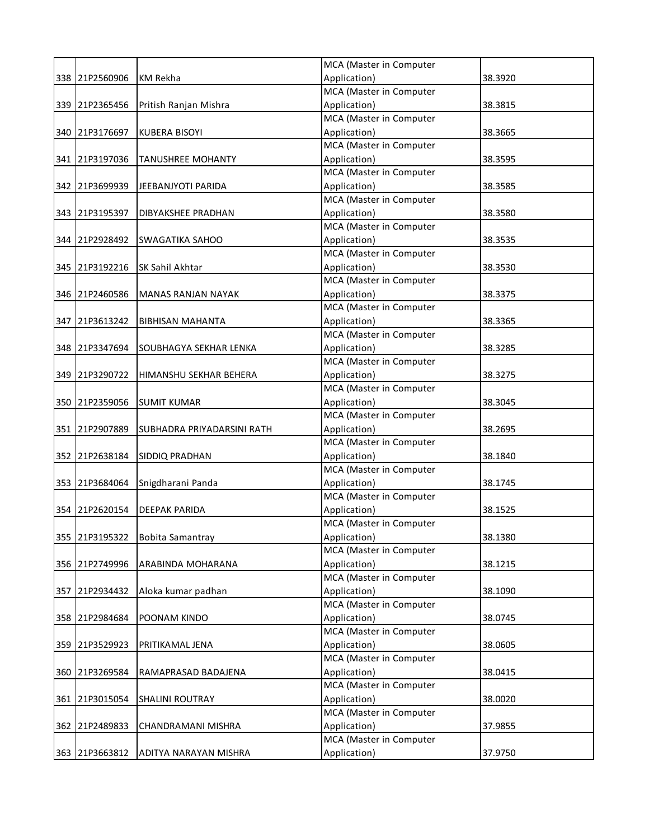|                |                            | MCA (Master in Computer                 |         |
|----------------|----------------------------|-----------------------------------------|---------|
| 338 21P2560906 | <b>KM Rekha</b>            | Application)                            | 38.3920 |
|                |                            | MCA (Master in Computer                 |         |
| 339 21P2365456 | Pritish Ranjan Mishra      | Application)                            | 38.3815 |
|                |                            | MCA (Master in Computer                 |         |
| 340 21P3176697 | <b>KUBERA BISOYI</b>       | Application)                            | 38.3665 |
|                |                            | MCA (Master in Computer                 |         |
| 341 21P3197036 | <b>TANUSHREE MOHANTY</b>   | Application)                            | 38.3595 |
|                |                            | MCA (Master in Computer                 |         |
| 342 21P3699939 | JEEBANJYOTI PARIDA         | Application)                            | 38.3585 |
|                |                            | MCA (Master in Computer                 |         |
| 343 21P3195397 | DIBYAKSHEE PRADHAN         | Application)                            | 38.3580 |
| 344 21P2928492 |                            | MCA (Master in Computer<br>Application) |         |
|                | <b>SWAGATIKA SAHOO</b>     | MCA (Master in Computer                 | 38.3535 |
|                | SK Sahil Akhtar            | Application)                            |         |
| 345 21P3192216 |                            | MCA (Master in Computer                 | 38.3530 |
| 346 21P2460586 | <b>MANAS RANJAN NAYAK</b>  | Application)                            | 38.3375 |
|                |                            | MCA (Master in Computer                 |         |
| 347 21P3613242 | <b>BIBHISAN MAHANTA</b>    | Application)                            | 38.3365 |
|                |                            | MCA (Master in Computer                 |         |
| 348 21P3347694 | SOUBHAGYA SEKHAR LENKA     | Application)                            | 38.3285 |
|                |                            | MCA (Master in Computer                 |         |
| 349 21P3290722 | HIMANSHU SEKHAR BEHERA     | Application)                            | 38.3275 |
|                |                            | MCA (Master in Computer                 |         |
| 350 21P2359056 | <b>SUMIT KUMAR</b>         | Application)                            | 38.3045 |
|                |                            | MCA (Master in Computer                 |         |
| 351 21P2907889 | SUBHADRA PRIYADARSINI RATH | Application)                            | 38.2695 |
|                |                            | MCA (Master in Computer                 |         |
| 352 21P2638184 | SIDDIQ PRADHAN             | Application)                            | 38.1840 |
|                |                            | MCA (Master in Computer                 |         |
| 353 21P3684064 | Snigdharani Panda          | Application)                            | 38.1745 |
|                |                            | MCA (Master in Computer                 |         |
| 354 21P2620154 | <b>DEEPAK PARIDA</b>       | Application)                            | 38.1525 |
|                |                            | MCA (Master in Computer                 |         |
| 355 21P3195322 | <b>Bobita Samantray</b>    | Application)                            | 38.1380 |
|                |                            | MCA (Master in Computer                 |         |
| 356 21P2749996 | ARABINDA MOHARANA          | Application)                            | 38.1215 |
|                |                            | MCA (Master in Computer                 |         |
| 357 21P2934432 | Aloka kumar padhan         | Application)                            | 38.1090 |
|                |                            | MCA (Master in Computer                 |         |
| 358 21P2984684 | POONAM KINDO               | Application)                            | 38.0745 |
|                |                            | MCA (Master in Computer                 |         |
| 359 21P3529923 | PRITIKAMAL JENA            | Application)                            | 38.0605 |
|                |                            | MCA (Master in Computer                 |         |
| 360 21P3269584 | RAMAPRASAD BADAJENA        | Application)                            | 38.0415 |
|                |                            | MCA (Master in Computer                 |         |
| 361 21P3015054 | SHALINI ROUTRAY            | Application)                            | 38.0020 |
|                |                            | MCA (Master in Computer                 |         |
| 362 21P2489833 | CHANDRAMANI MISHRA         | Application)                            | 37.9855 |
|                |                            | MCA (Master in Computer                 |         |
| 363 21P3663812 | ADITYA NARAYAN MISHRA      | Application)                            | 37.9750 |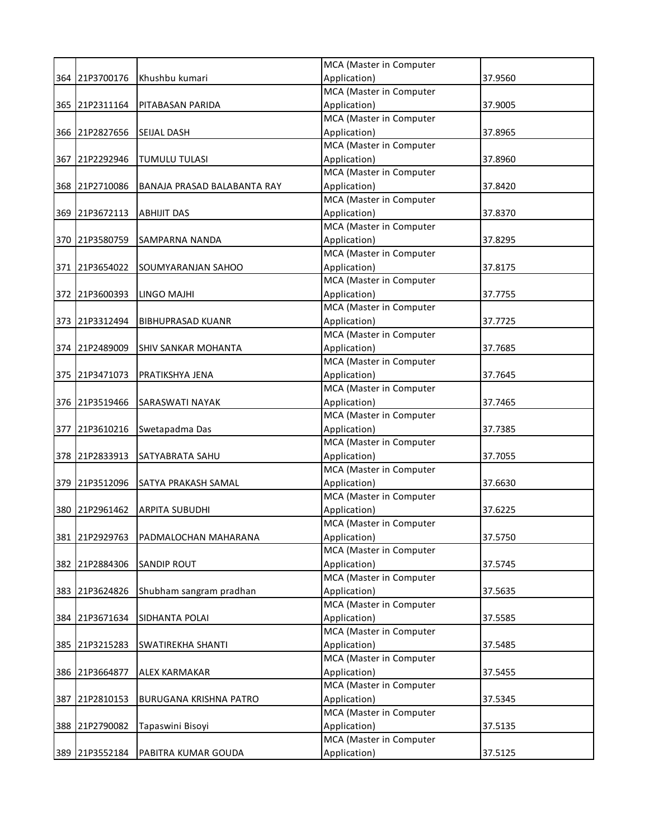|     |                |                             | MCA (Master in Computer |         |
|-----|----------------|-----------------------------|-------------------------|---------|
|     | 364 21P3700176 | Khushbu kumari              | Application)            | 37.9560 |
|     |                |                             | MCA (Master in Computer |         |
|     | 365 21P2311164 | PITABASAN PARIDA            | Application)            | 37.9005 |
|     |                |                             | MCA (Master in Computer |         |
|     | 366 21P2827656 | <b>SEIJAL DASH</b>          | Application)            | 37.8965 |
|     |                |                             | MCA (Master in Computer |         |
|     | 367 21P2292946 | <b>TUMULU TULASI</b>        | Application)            | 37.8960 |
|     |                |                             | MCA (Master in Computer |         |
|     | 368 21P2710086 | BANAJA PRASAD BALABANTA RAY | Application)            | 37.8420 |
|     |                |                             | MCA (Master in Computer |         |
|     | 369 21P3672113 | <b>ABHIJIT DAS</b>          | Application)            | 37.8370 |
|     |                |                             | MCA (Master in Computer |         |
|     | 370 21P3580759 | SAMPARNA NANDA              | Application)            | 37.8295 |
|     |                |                             | MCA (Master in Computer |         |
|     | 371 21P3654022 | SOUMYARANJAN SAHOO          | Application)            | 37.8175 |
|     |                |                             | MCA (Master in Computer |         |
|     | 372 21P3600393 | LINGO MAJHI                 | Application)            | 37.7755 |
|     |                |                             | MCA (Master in Computer |         |
|     | 373 21P3312494 | <b>BIBHUPRASAD KUANR</b>    | Application)            | 37.7725 |
|     |                |                             | MCA (Master in Computer |         |
|     | 374 21P2489009 | SHIV SANKAR MOHANTA         | Application)            | 37.7685 |
|     |                |                             | MCA (Master in Computer |         |
|     | 375 21P3471073 | PRATIKSHYA JENA             | Application)            | 37.7645 |
|     |                |                             | MCA (Master in Computer |         |
|     | 376 21P3519466 | SARASWATI NAYAK             | Application)            | 37.7465 |
|     |                |                             | MCA (Master in Computer |         |
|     | 377 21P3610216 | Swetapadma Das              | Application)            | 37.7385 |
|     |                |                             | MCA (Master in Computer |         |
|     | 378 21P2833913 | SATYABRATA SAHU             | Application)            | 37.7055 |
|     |                |                             | MCA (Master in Computer |         |
|     | 379 21P3512096 | SATYA PRAKASH SAMAL         | Application)            | 37.6630 |
|     |                |                             | MCA (Master in Computer |         |
|     | 380 21P2961462 | <b>ARPITA SUBUDHI</b>       | Application)            | 37.6225 |
|     |                |                             | MCA (Master in Computer |         |
|     | 381 21P2929763 | PADMALOCHAN MAHARANA        | Application)            | 37.5750 |
|     |                |                             | MCA (Master in Computer |         |
|     | 382 21P2884306 | <b>SANDIP ROUT</b>          | Application)            | 37.5745 |
|     |                |                             | MCA (Master in Computer |         |
|     | 383 21P3624826 | Shubham sangram pradhan     | Application)            | 37.5635 |
|     |                |                             | MCA (Master in Computer |         |
|     | 384 21P3671634 | SIDHANTA POLAI              | Application)            | 37.5585 |
|     |                |                             | MCA (Master in Computer |         |
|     | 385 21P3215283 | SWATIREKHA SHANTI           | Application)            | 37.5485 |
|     |                |                             | MCA (Master in Computer |         |
|     | 386 21P3664877 | ALEX KARMAKAR               | Application)            | 37.5455 |
|     |                |                             | MCA (Master in Computer |         |
| 387 | 21P2810153     | BURUGANA KRISHNA PATRO      | Application)            | 37.5345 |
|     |                |                             | MCA (Master in Computer |         |
|     | 388 21P2790082 | Tapaswini Bisoyi            | Application)            | 37.5135 |
|     |                |                             | MCA (Master in Computer |         |
|     | 389 21P3552184 | PABITRA KUMAR GOUDA         | Application)            | 37.5125 |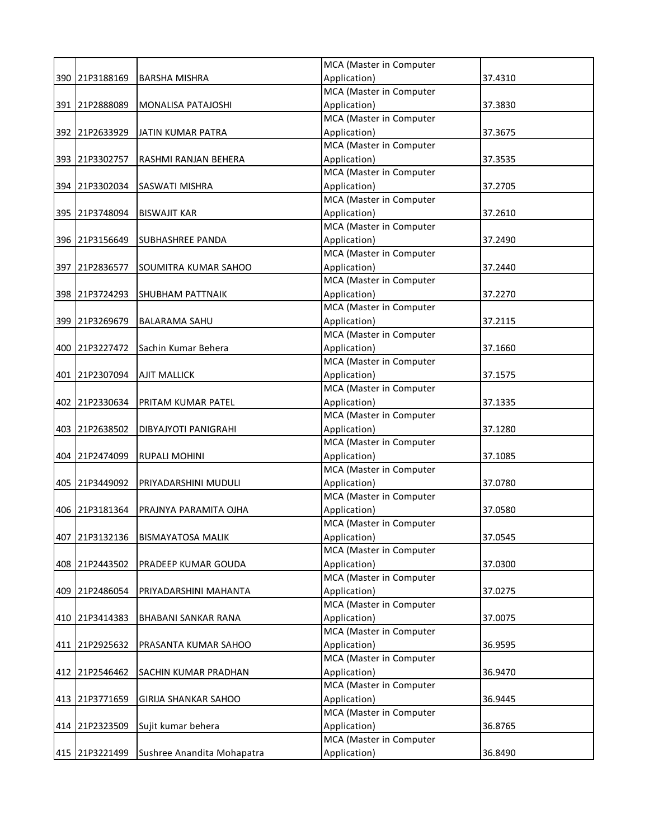|     |                |                             | MCA (Master in Computer |         |
|-----|----------------|-----------------------------|-------------------------|---------|
|     | 390 21P3188169 | <b>BARSHA MISHRA</b>        | Application)            | 37.4310 |
|     |                |                             | MCA (Master in Computer |         |
|     | 391 21P2888089 | MONALISA PATAJOSHI          | Application)            | 37.3830 |
|     |                |                             | MCA (Master in Computer |         |
|     | 392 21P2633929 | <b>JATIN KUMAR PATRA</b>    | Application)            | 37.3675 |
|     |                |                             | MCA (Master in Computer |         |
|     | 393 21P3302757 | RASHMI RANJAN BEHERA        | Application)            | 37.3535 |
|     |                |                             | MCA (Master in Computer |         |
|     | 394 21P3302034 | SASWATI MISHRA              | Application)            | 37.2705 |
|     |                |                             | MCA (Master in Computer |         |
|     | 395 21P3748094 | <b>BISWAJIT KAR</b>         | Application)            | 37.2610 |
|     |                |                             | MCA (Master in Computer |         |
|     | 396 21P3156649 | <b>SUBHASHREE PANDA</b>     | Application)            | 37.2490 |
|     |                |                             | MCA (Master in Computer |         |
|     | 397 21P2836577 | SOUMITRA KUMAR SAHOO        | Application)            | 37.2440 |
|     |                |                             | MCA (Master in Computer |         |
|     | 398 21P3724293 | SHUBHAM PATTNAIK            | Application)            | 37.2270 |
|     |                |                             | MCA (Master in Computer |         |
|     | 399 21P3269679 | <b>BALARAMA SAHU</b>        | Application)            | 37.2115 |
|     |                |                             | MCA (Master in Computer |         |
|     | 400 21P3227472 | Sachin Kumar Behera         | Application)            | 37.1660 |
|     |                |                             | MCA (Master in Computer |         |
|     | 401 21P2307094 | <b>AJIT MALLICK</b>         | Application)            | 37.1575 |
|     |                |                             | MCA (Master in Computer |         |
|     | 402 21P2330634 | PRITAM KUMAR PATEL          | Application)            | 37.1335 |
|     |                |                             | MCA (Master in Computer |         |
|     | 403 21P2638502 | DIBYAJYOTI PANIGRAHI        | Application)            | 37.1280 |
|     |                |                             | MCA (Master in Computer |         |
|     | 404 21P2474099 | <b>RUPALI MOHINI</b>        | Application)            | 37.1085 |
|     |                |                             | MCA (Master in Computer |         |
|     | 405 21P3449092 | PRIYADARSHINI MUDULI        | Application)            | 37.0780 |
|     |                |                             | MCA (Master in Computer |         |
|     | 406 21P3181364 | PRAJNYA PARAMITA OJHA       | Application)            | 37.0580 |
|     |                |                             | MCA (Master in Computer |         |
|     | 407 21P3132136 | <b>BISMAYATOSA MALIK</b>    | Application)            | 37.0545 |
|     |                |                             | MCA (Master in Computer |         |
|     | 408 21P2443502 | PRADEEP KUMAR GOUDA         | Application)            | 37.0300 |
|     |                |                             | MCA (Master in Computer |         |
| 409 | 21P2486054     | PRIYADARSHINI MAHANTA       | Application)            | 37.0275 |
|     |                |                             | MCA (Master in Computer |         |
|     | 410 21P3414383 | BHABANI SANKAR RANA         | Application)            | 37.0075 |
|     |                |                             | MCA (Master in Computer |         |
|     | 411 21P2925632 | PRASANTA KUMAR SAHOO        | Application)            | 36.9595 |
|     |                |                             | MCA (Master in Computer |         |
|     | 412 21P2546462 | SACHIN KUMAR PRADHAN        | Application)            | 36.9470 |
|     |                |                             | MCA (Master in Computer |         |
| 413 | 21P3771659     | <b>GIRIJA SHANKAR SAHOO</b> | Application)            | 36.9445 |
|     |                |                             | MCA (Master in Computer |         |
|     | 414 21P2323509 | Sujit kumar behera          | Application)            | 36.8765 |
|     |                |                             | MCA (Master in Computer |         |
|     | 415 21P3221499 | Sushree Anandita Mohapatra  | Application)            | 36.8490 |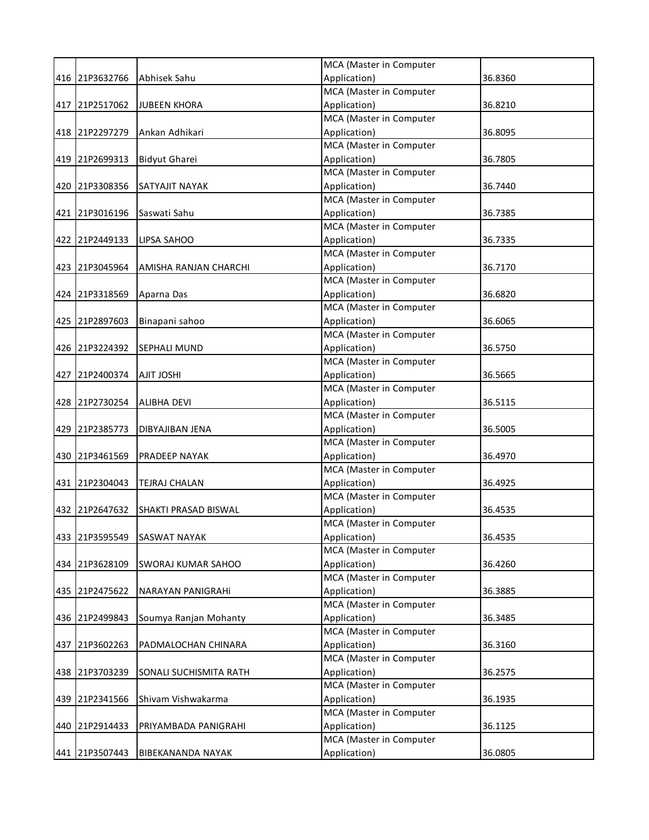|     |                |                          | MCA (Master in Computer |         |
|-----|----------------|--------------------------|-------------------------|---------|
|     | 416 21P3632766 | Abhisek Sahu             | Application)            | 36.8360 |
|     |                |                          | MCA (Master in Computer |         |
|     | 417 21P2517062 | <b>JUBEEN KHORA</b>      | Application)            | 36.8210 |
|     |                |                          | MCA (Master in Computer |         |
|     | 418 21P2297279 | Ankan Adhikari           | Application)            | 36.8095 |
|     |                |                          | MCA (Master in Computer |         |
|     | 419 21P2699313 | <b>Bidyut Gharei</b>     | Application)            | 36.7805 |
|     |                |                          | MCA (Master in Computer |         |
|     | 420 21P3308356 | <b>SATYAJIT NAYAK</b>    | Application)            | 36.7440 |
|     |                |                          | MCA (Master in Computer |         |
|     | 421 21P3016196 | Saswati Sahu             | Application)            | 36.7385 |
|     |                |                          | MCA (Master in Computer |         |
|     | 422 21P2449133 | LIPSA SAHOO              | Application)            | 36.7335 |
|     |                |                          | MCA (Master in Computer |         |
|     | 423 21P3045964 | AMISHA RANJAN CHARCHI    | Application)            | 36.7170 |
|     |                |                          | MCA (Master in Computer |         |
|     | 424 21P3318569 | Aparna Das               | Application)            | 36.6820 |
|     |                |                          | MCA (Master in Computer |         |
|     | 425 21P2897603 | Binapani sahoo           | Application)            | 36.6065 |
|     |                |                          | MCA (Master in Computer |         |
|     | 426 21P3224392 | SEPHALI MUND             | Application)            | 36.5750 |
|     |                |                          | MCA (Master in Computer |         |
|     | 427 21P2400374 | <b>AJIT JOSHI</b>        | Application)            | 36.5665 |
|     |                |                          | MCA (Master in Computer |         |
|     | 428 21P2730254 | <b>ALIBHA DEVI</b>       | Application)            | 36.5115 |
|     |                |                          | MCA (Master in Computer |         |
|     | 429 21P2385773 | DIBYAJIBAN JENA          | Application)            | 36.5005 |
|     |                |                          | MCA (Master in Computer |         |
|     | 430 21P3461569 | <b>PRADEEP NAYAK</b>     | Application)            | 36.4970 |
|     |                |                          | MCA (Master in Computer |         |
|     | 431 21P2304043 | <b>TEJRAJ CHALAN</b>     | Application)            | 36.4925 |
|     |                |                          | MCA (Master in Computer |         |
|     | 432 21P2647632 | SHAKTI PRASAD BISWAL     | Application)            | 36.4535 |
|     |                |                          | MCA (Master in Computer |         |
|     | 433 21P3595549 | SASWAT NAYAK             | Application)            | 36.4535 |
|     |                |                          | MCA (Master in Computer |         |
|     | 434 21P3628109 | SWORAJ KUMAR SAHOO       | Application)            | 36.4260 |
|     |                |                          | MCA (Master in Computer |         |
|     | 435 21P2475622 | NARAYAN PANIGRAHI        | Application)            | 36.3885 |
|     |                |                          | MCA (Master in Computer |         |
|     | 436 21P2499843 | Soumya Ranjan Mohanty    | Application)            | 36.3485 |
|     |                |                          | MCA (Master in Computer |         |
|     | 437 21P3602263 | PADMALOCHAN CHINARA      | Application)            | 36.3160 |
|     |                |                          | MCA (Master in Computer |         |
| 438 | 21P3703239     | SONALI SUCHISMITA RATH   | Application)            | 36.2575 |
|     |                |                          | MCA (Master in Computer |         |
| 439 | 21P2341566     | Shivam Vishwakarma       | Application)            | 36.1935 |
|     |                |                          | MCA (Master in Computer |         |
|     | 440 21P2914433 | PRIYAMBADA PANIGRAHI     | Application)            | 36.1125 |
|     |                |                          | MCA (Master in Computer |         |
|     | 441 21P3507443 | <b>BIBEKANANDA NAYAK</b> | Application)            | 36.0805 |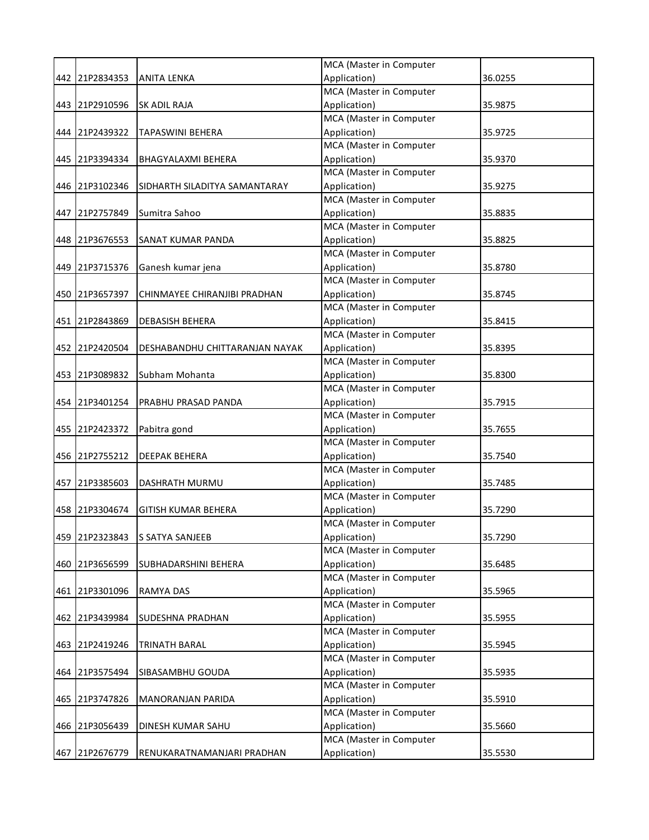|     |                |                                | MCA (Master in Computer |         |
|-----|----------------|--------------------------------|-------------------------|---------|
|     | 442 21P2834353 | <b>ANITA LENKA</b>             | Application)            | 36.0255 |
|     |                |                                | MCA (Master in Computer |         |
|     | 443 21P2910596 | SK ADIL RAJA                   | Application)            | 35.9875 |
|     |                |                                | MCA (Master in Computer |         |
|     | 444 21P2439322 | <b>TAPASWINI BEHERA</b>        | Application)            | 35.9725 |
|     |                |                                | MCA (Master in Computer |         |
|     | 445 21P3394334 | <b>BHAGYALAXMI BEHERA</b>      | Application)            | 35.9370 |
|     |                |                                | MCA (Master in Computer |         |
|     | 446 21P3102346 | SIDHARTH SILADITYA SAMANTARAY  | Application)            | 35.9275 |
|     |                |                                | MCA (Master in Computer |         |
|     | 447 21P2757849 | Sumitra Sahoo                  | Application)            | 35.8835 |
|     |                |                                | MCA (Master in Computer |         |
|     | 448 21P3676553 | SANAT KUMAR PANDA              | Application)            | 35.8825 |
|     |                |                                | MCA (Master in Computer |         |
|     | 449 21P3715376 | Ganesh kumar jena              | Application)            | 35.8780 |
|     |                |                                | MCA (Master in Computer |         |
|     | 450 21P3657397 | CHINMAYEE CHIRANJIBI PRADHAN   | Application)            | 35.8745 |
|     |                |                                | MCA (Master in Computer |         |
|     | 451 21P2843869 | <b>DEBASISH BEHERA</b>         | Application)            | 35.8415 |
|     |                |                                | MCA (Master in Computer |         |
|     | 452 21P2420504 | DESHABANDHU CHITTARANJAN NAYAK | Application)            | 35.8395 |
|     |                |                                | MCA (Master in Computer |         |
|     | 453 21P3089832 | Subham Mohanta                 | Application)            | 35.8300 |
|     |                |                                | MCA (Master in Computer |         |
|     | 454 21P3401254 | PRABHU PRASAD PANDA            | Application)            | 35.7915 |
|     |                |                                | MCA (Master in Computer |         |
|     | 455 21P2423372 | Pabitra gond                   | Application)            | 35.7655 |
|     |                |                                | MCA (Master in Computer |         |
|     | 456 21P2755212 | <b>DEEPAK BEHERA</b>           | Application)            | 35.7540 |
|     |                |                                | MCA (Master in Computer |         |
|     | 457 21P3385603 | DASHRATH MURMU                 | Application)            | 35.7485 |
|     |                |                                | MCA (Master in Computer |         |
|     | 458 21P3304674 | <b>GITISH KUMAR BEHERA</b>     | Application)            | 35.7290 |
|     |                |                                | MCA (Master in Computer |         |
|     | 459 21P2323843 | S SATYA SANJEEB                | Application)            | 35.7290 |
|     |                |                                | MCA (Master in Computer |         |
|     | 460 21P3656599 | SUBHADARSHINI BEHERA           | Application)            | 35.6485 |
|     |                |                                | MCA (Master in Computer |         |
|     | 461 21P3301096 | <b>RAMYA DAS</b>               | Application)            | 35.5965 |
|     |                |                                | MCA (Master in Computer |         |
|     | 462 21P3439984 | SUDESHNA PRADHAN               | Application)            | 35.5955 |
|     |                |                                | MCA (Master in Computer |         |
|     | 463 21P2419246 | <b>TRINATH BARAL</b>           | Application)            | 35.5945 |
|     |                |                                | MCA (Master in Computer |         |
|     | 464 21P3575494 | SIBASAMBHU GOUDA               | Application)            | 35.5935 |
|     |                |                                | MCA (Master in Computer |         |
| 465 | 21P3747826     | MANORANJAN PARIDA              | Application)            | 35.5910 |
|     |                |                                | MCA (Master in Computer |         |
|     | 466 21P3056439 | DINESH KUMAR SAHU              | Application)            | 35.5660 |
|     |                |                                | MCA (Master in Computer |         |
| 467 | 21P2676779     | RENUKARATNAMANJARI PRADHAN     | Application)            | 35.5530 |
|     |                |                                |                         |         |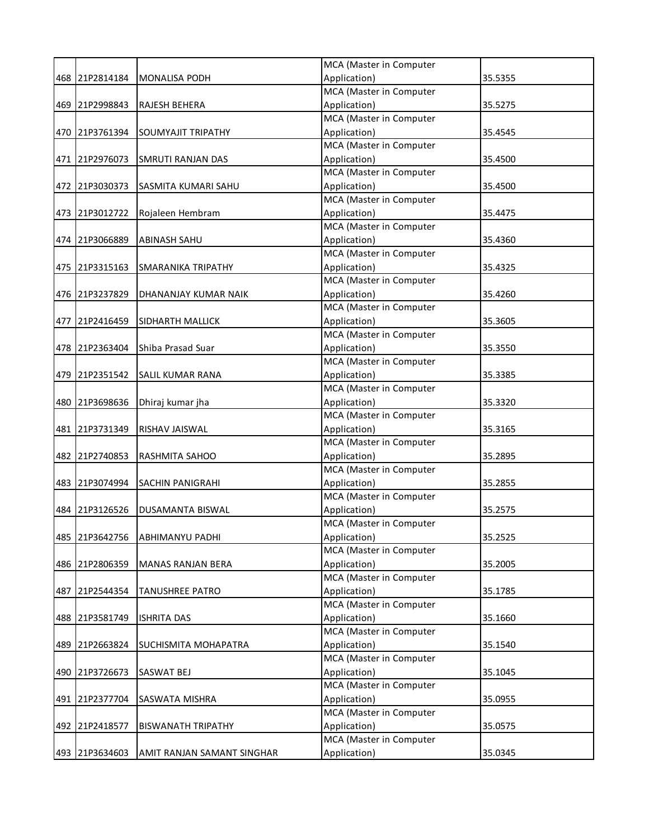| MCA (Master in Computer<br>Application)<br>468 21P2814184<br>35.5355<br><b>MONALISA PODH</b><br>MCA (Master in Computer<br>469 21P2998843<br>Application)<br>35.5275<br>RAJESH BEHERA<br>MCA (Master in Computer<br>Application)<br>470 21P3761394<br><b>SOUMYAJIT TRIPATHY</b><br>35.4545<br>MCA (Master in Computer<br>Application)<br>471 21P2976073<br><b>SMRUTI RANJAN DAS</b><br>35.4500<br>MCA (Master in Computer<br>Application)<br>472 21P3030373<br><b>SASMITA KUMARI SAHU</b><br>35.4500<br>MCA (Master in Computer<br>473 21P3012722<br>Application)<br>35.4475<br>Rojaleen Hembram<br>MCA (Master in Computer<br>Application)<br>474 21P3066889<br><b>ABINASH SAHU</b><br>35.4360<br>MCA (Master in Computer<br>Application)<br>475 21P3315163<br><b>SMARANIKA TRIPATHY</b><br>35.4325<br>MCA (Master in Computer<br>Application)<br>476 21P3237829<br>35.4260<br>DHANANJAY KUMAR NAIK<br>MCA (Master in Computer<br>477 21P2416459<br>Application)<br>35.3605<br>SIDHARTH MALLICK<br>MCA (Master in Computer<br>478 21P2363404<br>Shiba Prasad Suar<br>Application)<br>35.3550<br>MCA (Master in Computer<br>Application)<br>479 21P2351542<br><b>SALIL KUMAR RANA</b><br>35.3385<br>MCA (Master in Computer<br>Application)<br>480 21P3698636<br>Dhiraj kumar jha<br>35.3320<br>MCA (Master in Computer<br>481 21P3731349<br>Application)<br>35.3165<br>RISHAV JAISWAL<br>MCA (Master in Computer<br>482 21P2740853<br>Application)<br>RASHMITA SAHOO<br>35.2895<br>MCA (Master in Computer<br>Application)<br>483 21P3074994<br>35.2855<br><b>SACHIN PANIGRAHI</b><br>MCA (Master in Computer<br>Application)<br>484 21P3126526<br>35.2575<br>DUSAMANTA BISWAL<br>MCA (Master in Computer<br>Application)<br>485 21P3642756<br>ABHIMANYU PADHI<br>35.2525<br>MCA (Master in Computer<br>486 21P2806359<br>Application)<br>35.2005<br><b>MANAS RANJAN BERA</b><br>MCA (Master in Computer<br>Application)<br>487 21P2544354<br><b>TANUSHREE PATRO</b><br>35.1785<br>MCA (Master in Computer<br>Application)<br>488 21P3581749<br><b>ISHRITA DAS</b><br>35.1660<br>MCA (Master in Computer<br>Application)<br>489 21P2663824<br>35.1540<br>SUCHISMITA MOHAPATRA<br>MCA (Master in Computer<br>Application)<br>490 21P3726673<br>SASWAT BEJ<br>35.1045<br>MCA (Master in Computer<br>Application)<br>491 21P2377704<br>35.0955<br>SASWATA MISHRA<br>MCA (Master in Computer<br>Application)<br>492 21P2418577<br><b>BISWANATH TRIPATHY</b><br>35.0575<br>MCA (Master in Computer |                |                            |              |         |
|------------------------------------------------------------------------------------------------------------------------------------------------------------------------------------------------------------------------------------------------------------------------------------------------------------------------------------------------------------------------------------------------------------------------------------------------------------------------------------------------------------------------------------------------------------------------------------------------------------------------------------------------------------------------------------------------------------------------------------------------------------------------------------------------------------------------------------------------------------------------------------------------------------------------------------------------------------------------------------------------------------------------------------------------------------------------------------------------------------------------------------------------------------------------------------------------------------------------------------------------------------------------------------------------------------------------------------------------------------------------------------------------------------------------------------------------------------------------------------------------------------------------------------------------------------------------------------------------------------------------------------------------------------------------------------------------------------------------------------------------------------------------------------------------------------------------------------------------------------------------------------------------------------------------------------------------------------------------------------------------------------------------------------------------------------------------------------------------------------------------------------------------------------------------------------------------------------------------------------------------------------------------------------------------------------------------------------------------------------------------------------------------------------------------------------------------------------------------------------------------|----------------|----------------------------|--------------|---------|
|                                                                                                                                                                                                                                                                                                                                                                                                                                                                                                                                                                                                                                                                                                                                                                                                                                                                                                                                                                                                                                                                                                                                                                                                                                                                                                                                                                                                                                                                                                                                                                                                                                                                                                                                                                                                                                                                                                                                                                                                                                                                                                                                                                                                                                                                                                                                                                                                                                                                                                |                |                            |              |         |
|                                                                                                                                                                                                                                                                                                                                                                                                                                                                                                                                                                                                                                                                                                                                                                                                                                                                                                                                                                                                                                                                                                                                                                                                                                                                                                                                                                                                                                                                                                                                                                                                                                                                                                                                                                                                                                                                                                                                                                                                                                                                                                                                                                                                                                                                                                                                                                                                                                                                                                |                |                            |              |         |
|                                                                                                                                                                                                                                                                                                                                                                                                                                                                                                                                                                                                                                                                                                                                                                                                                                                                                                                                                                                                                                                                                                                                                                                                                                                                                                                                                                                                                                                                                                                                                                                                                                                                                                                                                                                                                                                                                                                                                                                                                                                                                                                                                                                                                                                                                                                                                                                                                                                                                                |                |                            |              |         |
|                                                                                                                                                                                                                                                                                                                                                                                                                                                                                                                                                                                                                                                                                                                                                                                                                                                                                                                                                                                                                                                                                                                                                                                                                                                                                                                                                                                                                                                                                                                                                                                                                                                                                                                                                                                                                                                                                                                                                                                                                                                                                                                                                                                                                                                                                                                                                                                                                                                                                                |                |                            |              |         |
|                                                                                                                                                                                                                                                                                                                                                                                                                                                                                                                                                                                                                                                                                                                                                                                                                                                                                                                                                                                                                                                                                                                                                                                                                                                                                                                                                                                                                                                                                                                                                                                                                                                                                                                                                                                                                                                                                                                                                                                                                                                                                                                                                                                                                                                                                                                                                                                                                                                                                                |                |                            |              |         |
|                                                                                                                                                                                                                                                                                                                                                                                                                                                                                                                                                                                                                                                                                                                                                                                                                                                                                                                                                                                                                                                                                                                                                                                                                                                                                                                                                                                                                                                                                                                                                                                                                                                                                                                                                                                                                                                                                                                                                                                                                                                                                                                                                                                                                                                                                                                                                                                                                                                                                                |                |                            |              |         |
|                                                                                                                                                                                                                                                                                                                                                                                                                                                                                                                                                                                                                                                                                                                                                                                                                                                                                                                                                                                                                                                                                                                                                                                                                                                                                                                                                                                                                                                                                                                                                                                                                                                                                                                                                                                                                                                                                                                                                                                                                                                                                                                                                                                                                                                                                                                                                                                                                                                                                                |                |                            |              |         |
|                                                                                                                                                                                                                                                                                                                                                                                                                                                                                                                                                                                                                                                                                                                                                                                                                                                                                                                                                                                                                                                                                                                                                                                                                                                                                                                                                                                                                                                                                                                                                                                                                                                                                                                                                                                                                                                                                                                                                                                                                                                                                                                                                                                                                                                                                                                                                                                                                                                                                                |                |                            |              |         |
|                                                                                                                                                                                                                                                                                                                                                                                                                                                                                                                                                                                                                                                                                                                                                                                                                                                                                                                                                                                                                                                                                                                                                                                                                                                                                                                                                                                                                                                                                                                                                                                                                                                                                                                                                                                                                                                                                                                                                                                                                                                                                                                                                                                                                                                                                                                                                                                                                                                                                                |                |                            |              |         |
|                                                                                                                                                                                                                                                                                                                                                                                                                                                                                                                                                                                                                                                                                                                                                                                                                                                                                                                                                                                                                                                                                                                                                                                                                                                                                                                                                                                                                                                                                                                                                                                                                                                                                                                                                                                                                                                                                                                                                                                                                                                                                                                                                                                                                                                                                                                                                                                                                                                                                                |                |                            |              |         |
|                                                                                                                                                                                                                                                                                                                                                                                                                                                                                                                                                                                                                                                                                                                                                                                                                                                                                                                                                                                                                                                                                                                                                                                                                                                                                                                                                                                                                                                                                                                                                                                                                                                                                                                                                                                                                                                                                                                                                                                                                                                                                                                                                                                                                                                                                                                                                                                                                                                                                                |                |                            |              |         |
|                                                                                                                                                                                                                                                                                                                                                                                                                                                                                                                                                                                                                                                                                                                                                                                                                                                                                                                                                                                                                                                                                                                                                                                                                                                                                                                                                                                                                                                                                                                                                                                                                                                                                                                                                                                                                                                                                                                                                                                                                                                                                                                                                                                                                                                                                                                                                                                                                                                                                                |                |                            |              |         |
|                                                                                                                                                                                                                                                                                                                                                                                                                                                                                                                                                                                                                                                                                                                                                                                                                                                                                                                                                                                                                                                                                                                                                                                                                                                                                                                                                                                                                                                                                                                                                                                                                                                                                                                                                                                                                                                                                                                                                                                                                                                                                                                                                                                                                                                                                                                                                                                                                                                                                                |                |                            |              |         |
|                                                                                                                                                                                                                                                                                                                                                                                                                                                                                                                                                                                                                                                                                                                                                                                                                                                                                                                                                                                                                                                                                                                                                                                                                                                                                                                                                                                                                                                                                                                                                                                                                                                                                                                                                                                                                                                                                                                                                                                                                                                                                                                                                                                                                                                                                                                                                                                                                                                                                                |                |                            |              |         |
|                                                                                                                                                                                                                                                                                                                                                                                                                                                                                                                                                                                                                                                                                                                                                                                                                                                                                                                                                                                                                                                                                                                                                                                                                                                                                                                                                                                                                                                                                                                                                                                                                                                                                                                                                                                                                                                                                                                                                                                                                                                                                                                                                                                                                                                                                                                                                                                                                                                                                                |                |                            |              |         |
|                                                                                                                                                                                                                                                                                                                                                                                                                                                                                                                                                                                                                                                                                                                                                                                                                                                                                                                                                                                                                                                                                                                                                                                                                                                                                                                                                                                                                                                                                                                                                                                                                                                                                                                                                                                                                                                                                                                                                                                                                                                                                                                                                                                                                                                                                                                                                                                                                                                                                                |                |                            |              |         |
|                                                                                                                                                                                                                                                                                                                                                                                                                                                                                                                                                                                                                                                                                                                                                                                                                                                                                                                                                                                                                                                                                                                                                                                                                                                                                                                                                                                                                                                                                                                                                                                                                                                                                                                                                                                                                                                                                                                                                                                                                                                                                                                                                                                                                                                                                                                                                                                                                                                                                                |                |                            |              |         |
|                                                                                                                                                                                                                                                                                                                                                                                                                                                                                                                                                                                                                                                                                                                                                                                                                                                                                                                                                                                                                                                                                                                                                                                                                                                                                                                                                                                                                                                                                                                                                                                                                                                                                                                                                                                                                                                                                                                                                                                                                                                                                                                                                                                                                                                                                                                                                                                                                                                                                                |                |                            |              |         |
|                                                                                                                                                                                                                                                                                                                                                                                                                                                                                                                                                                                                                                                                                                                                                                                                                                                                                                                                                                                                                                                                                                                                                                                                                                                                                                                                                                                                                                                                                                                                                                                                                                                                                                                                                                                                                                                                                                                                                                                                                                                                                                                                                                                                                                                                                                                                                                                                                                                                                                |                |                            |              |         |
|                                                                                                                                                                                                                                                                                                                                                                                                                                                                                                                                                                                                                                                                                                                                                                                                                                                                                                                                                                                                                                                                                                                                                                                                                                                                                                                                                                                                                                                                                                                                                                                                                                                                                                                                                                                                                                                                                                                                                                                                                                                                                                                                                                                                                                                                                                                                                                                                                                                                                                |                |                            |              |         |
|                                                                                                                                                                                                                                                                                                                                                                                                                                                                                                                                                                                                                                                                                                                                                                                                                                                                                                                                                                                                                                                                                                                                                                                                                                                                                                                                                                                                                                                                                                                                                                                                                                                                                                                                                                                                                                                                                                                                                                                                                                                                                                                                                                                                                                                                                                                                                                                                                                                                                                |                |                            |              |         |
|                                                                                                                                                                                                                                                                                                                                                                                                                                                                                                                                                                                                                                                                                                                                                                                                                                                                                                                                                                                                                                                                                                                                                                                                                                                                                                                                                                                                                                                                                                                                                                                                                                                                                                                                                                                                                                                                                                                                                                                                                                                                                                                                                                                                                                                                                                                                                                                                                                                                                                |                |                            |              |         |
|                                                                                                                                                                                                                                                                                                                                                                                                                                                                                                                                                                                                                                                                                                                                                                                                                                                                                                                                                                                                                                                                                                                                                                                                                                                                                                                                                                                                                                                                                                                                                                                                                                                                                                                                                                                                                                                                                                                                                                                                                                                                                                                                                                                                                                                                                                                                                                                                                                                                                                |                |                            |              |         |
|                                                                                                                                                                                                                                                                                                                                                                                                                                                                                                                                                                                                                                                                                                                                                                                                                                                                                                                                                                                                                                                                                                                                                                                                                                                                                                                                                                                                                                                                                                                                                                                                                                                                                                                                                                                                                                                                                                                                                                                                                                                                                                                                                                                                                                                                                                                                                                                                                                                                                                |                |                            |              |         |
|                                                                                                                                                                                                                                                                                                                                                                                                                                                                                                                                                                                                                                                                                                                                                                                                                                                                                                                                                                                                                                                                                                                                                                                                                                                                                                                                                                                                                                                                                                                                                                                                                                                                                                                                                                                                                                                                                                                                                                                                                                                                                                                                                                                                                                                                                                                                                                                                                                                                                                |                |                            |              |         |
|                                                                                                                                                                                                                                                                                                                                                                                                                                                                                                                                                                                                                                                                                                                                                                                                                                                                                                                                                                                                                                                                                                                                                                                                                                                                                                                                                                                                                                                                                                                                                                                                                                                                                                                                                                                                                                                                                                                                                                                                                                                                                                                                                                                                                                                                                                                                                                                                                                                                                                |                |                            |              |         |
|                                                                                                                                                                                                                                                                                                                                                                                                                                                                                                                                                                                                                                                                                                                                                                                                                                                                                                                                                                                                                                                                                                                                                                                                                                                                                                                                                                                                                                                                                                                                                                                                                                                                                                                                                                                                                                                                                                                                                                                                                                                                                                                                                                                                                                                                                                                                                                                                                                                                                                |                |                            |              |         |
|                                                                                                                                                                                                                                                                                                                                                                                                                                                                                                                                                                                                                                                                                                                                                                                                                                                                                                                                                                                                                                                                                                                                                                                                                                                                                                                                                                                                                                                                                                                                                                                                                                                                                                                                                                                                                                                                                                                                                                                                                                                                                                                                                                                                                                                                                                                                                                                                                                                                                                |                |                            |              |         |
|                                                                                                                                                                                                                                                                                                                                                                                                                                                                                                                                                                                                                                                                                                                                                                                                                                                                                                                                                                                                                                                                                                                                                                                                                                                                                                                                                                                                                                                                                                                                                                                                                                                                                                                                                                                                                                                                                                                                                                                                                                                                                                                                                                                                                                                                                                                                                                                                                                                                                                |                |                            |              |         |
|                                                                                                                                                                                                                                                                                                                                                                                                                                                                                                                                                                                                                                                                                                                                                                                                                                                                                                                                                                                                                                                                                                                                                                                                                                                                                                                                                                                                                                                                                                                                                                                                                                                                                                                                                                                                                                                                                                                                                                                                                                                                                                                                                                                                                                                                                                                                                                                                                                                                                                |                |                            |              |         |
|                                                                                                                                                                                                                                                                                                                                                                                                                                                                                                                                                                                                                                                                                                                                                                                                                                                                                                                                                                                                                                                                                                                                                                                                                                                                                                                                                                                                                                                                                                                                                                                                                                                                                                                                                                                                                                                                                                                                                                                                                                                                                                                                                                                                                                                                                                                                                                                                                                                                                                |                |                            |              |         |
|                                                                                                                                                                                                                                                                                                                                                                                                                                                                                                                                                                                                                                                                                                                                                                                                                                                                                                                                                                                                                                                                                                                                                                                                                                                                                                                                                                                                                                                                                                                                                                                                                                                                                                                                                                                                                                                                                                                                                                                                                                                                                                                                                                                                                                                                                                                                                                                                                                                                                                |                |                            |              |         |
|                                                                                                                                                                                                                                                                                                                                                                                                                                                                                                                                                                                                                                                                                                                                                                                                                                                                                                                                                                                                                                                                                                                                                                                                                                                                                                                                                                                                                                                                                                                                                                                                                                                                                                                                                                                                                                                                                                                                                                                                                                                                                                                                                                                                                                                                                                                                                                                                                                                                                                |                |                            |              |         |
|                                                                                                                                                                                                                                                                                                                                                                                                                                                                                                                                                                                                                                                                                                                                                                                                                                                                                                                                                                                                                                                                                                                                                                                                                                                                                                                                                                                                                                                                                                                                                                                                                                                                                                                                                                                                                                                                                                                                                                                                                                                                                                                                                                                                                                                                                                                                                                                                                                                                                                |                |                            |              |         |
|                                                                                                                                                                                                                                                                                                                                                                                                                                                                                                                                                                                                                                                                                                                                                                                                                                                                                                                                                                                                                                                                                                                                                                                                                                                                                                                                                                                                                                                                                                                                                                                                                                                                                                                                                                                                                                                                                                                                                                                                                                                                                                                                                                                                                                                                                                                                                                                                                                                                                                |                |                            |              |         |
|                                                                                                                                                                                                                                                                                                                                                                                                                                                                                                                                                                                                                                                                                                                                                                                                                                                                                                                                                                                                                                                                                                                                                                                                                                                                                                                                                                                                                                                                                                                                                                                                                                                                                                                                                                                                                                                                                                                                                                                                                                                                                                                                                                                                                                                                                                                                                                                                                                                                                                |                |                            |              |         |
|                                                                                                                                                                                                                                                                                                                                                                                                                                                                                                                                                                                                                                                                                                                                                                                                                                                                                                                                                                                                                                                                                                                                                                                                                                                                                                                                                                                                                                                                                                                                                                                                                                                                                                                                                                                                                                                                                                                                                                                                                                                                                                                                                                                                                                                                                                                                                                                                                                                                                                |                |                            |              |         |
|                                                                                                                                                                                                                                                                                                                                                                                                                                                                                                                                                                                                                                                                                                                                                                                                                                                                                                                                                                                                                                                                                                                                                                                                                                                                                                                                                                                                                                                                                                                                                                                                                                                                                                                                                                                                                                                                                                                                                                                                                                                                                                                                                                                                                                                                                                                                                                                                                                                                                                |                |                            |              |         |
|                                                                                                                                                                                                                                                                                                                                                                                                                                                                                                                                                                                                                                                                                                                                                                                                                                                                                                                                                                                                                                                                                                                                                                                                                                                                                                                                                                                                                                                                                                                                                                                                                                                                                                                                                                                                                                                                                                                                                                                                                                                                                                                                                                                                                                                                                                                                                                                                                                                                                                |                |                            |              |         |
|                                                                                                                                                                                                                                                                                                                                                                                                                                                                                                                                                                                                                                                                                                                                                                                                                                                                                                                                                                                                                                                                                                                                                                                                                                                                                                                                                                                                                                                                                                                                                                                                                                                                                                                                                                                                                                                                                                                                                                                                                                                                                                                                                                                                                                                                                                                                                                                                                                                                                                |                |                            |              |         |
|                                                                                                                                                                                                                                                                                                                                                                                                                                                                                                                                                                                                                                                                                                                                                                                                                                                                                                                                                                                                                                                                                                                                                                                                                                                                                                                                                                                                                                                                                                                                                                                                                                                                                                                                                                                                                                                                                                                                                                                                                                                                                                                                                                                                                                                                                                                                                                                                                                                                                                |                |                            |              |         |
|                                                                                                                                                                                                                                                                                                                                                                                                                                                                                                                                                                                                                                                                                                                                                                                                                                                                                                                                                                                                                                                                                                                                                                                                                                                                                                                                                                                                                                                                                                                                                                                                                                                                                                                                                                                                                                                                                                                                                                                                                                                                                                                                                                                                                                                                                                                                                                                                                                                                                                |                |                            |              |         |
|                                                                                                                                                                                                                                                                                                                                                                                                                                                                                                                                                                                                                                                                                                                                                                                                                                                                                                                                                                                                                                                                                                                                                                                                                                                                                                                                                                                                                                                                                                                                                                                                                                                                                                                                                                                                                                                                                                                                                                                                                                                                                                                                                                                                                                                                                                                                                                                                                                                                                                |                |                            |              |         |
|                                                                                                                                                                                                                                                                                                                                                                                                                                                                                                                                                                                                                                                                                                                                                                                                                                                                                                                                                                                                                                                                                                                                                                                                                                                                                                                                                                                                                                                                                                                                                                                                                                                                                                                                                                                                                                                                                                                                                                                                                                                                                                                                                                                                                                                                                                                                                                                                                                                                                                |                |                            |              |         |
|                                                                                                                                                                                                                                                                                                                                                                                                                                                                                                                                                                                                                                                                                                                                                                                                                                                                                                                                                                                                                                                                                                                                                                                                                                                                                                                                                                                                                                                                                                                                                                                                                                                                                                                                                                                                                                                                                                                                                                                                                                                                                                                                                                                                                                                                                                                                                                                                                                                                                                |                |                            |              |         |
|                                                                                                                                                                                                                                                                                                                                                                                                                                                                                                                                                                                                                                                                                                                                                                                                                                                                                                                                                                                                                                                                                                                                                                                                                                                                                                                                                                                                                                                                                                                                                                                                                                                                                                                                                                                                                                                                                                                                                                                                                                                                                                                                                                                                                                                                                                                                                                                                                                                                                                |                |                            |              |         |
|                                                                                                                                                                                                                                                                                                                                                                                                                                                                                                                                                                                                                                                                                                                                                                                                                                                                                                                                                                                                                                                                                                                                                                                                                                                                                                                                                                                                                                                                                                                                                                                                                                                                                                                                                                                                                                                                                                                                                                                                                                                                                                                                                                                                                                                                                                                                                                                                                                                                                                |                |                            |              |         |
|                                                                                                                                                                                                                                                                                                                                                                                                                                                                                                                                                                                                                                                                                                                                                                                                                                                                                                                                                                                                                                                                                                                                                                                                                                                                                                                                                                                                                                                                                                                                                                                                                                                                                                                                                                                                                                                                                                                                                                                                                                                                                                                                                                                                                                                                                                                                                                                                                                                                                                |                |                            |              |         |
|                                                                                                                                                                                                                                                                                                                                                                                                                                                                                                                                                                                                                                                                                                                                                                                                                                                                                                                                                                                                                                                                                                                                                                                                                                                                                                                                                                                                                                                                                                                                                                                                                                                                                                                                                                                                                                                                                                                                                                                                                                                                                                                                                                                                                                                                                                                                                                                                                                                                                                |                |                            |              |         |
|                                                                                                                                                                                                                                                                                                                                                                                                                                                                                                                                                                                                                                                                                                                                                                                                                                                                                                                                                                                                                                                                                                                                                                                                                                                                                                                                                                                                                                                                                                                                                                                                                                                                                                                                                                                                                                                                                                                                                                                                                                                                                                                                                                                                                                                                                                                                                                                                                                                                                                |                |                            |              |         |
|                                                                                                                                                                                                                                                                                                                                                                                                                                                                                                                                                                                                                                                                                                                                                                                                                                                                                                                                                                                                                                                                                                                                                                                                                                                                                                                                                                                                                                                                                                                                                                                                                                                                                                                                                                                                                                                                                                                                                                                                                                                                                                                                                                                                                                                                                                                                                                                                                                                                                                |                |                            |              |         |
|                                                                                                                                                                                                                                                                                                                                                                                                                                                                                                                                                                                                                                                                                                                                                                                                                                                                                                                                                                                                                                                                                                                                                                                                                                                                                                                                                                                                                                                                                                                                                                                                                                                                                                                                                                                                                                                                                                                                                                                                                                                                                                                                                                                                                                                                                                                                                                                                                                                                                                | 493 21P3634603 | AMIT RANJAN SAMANT SINGHAR | Application) | 35.0345 |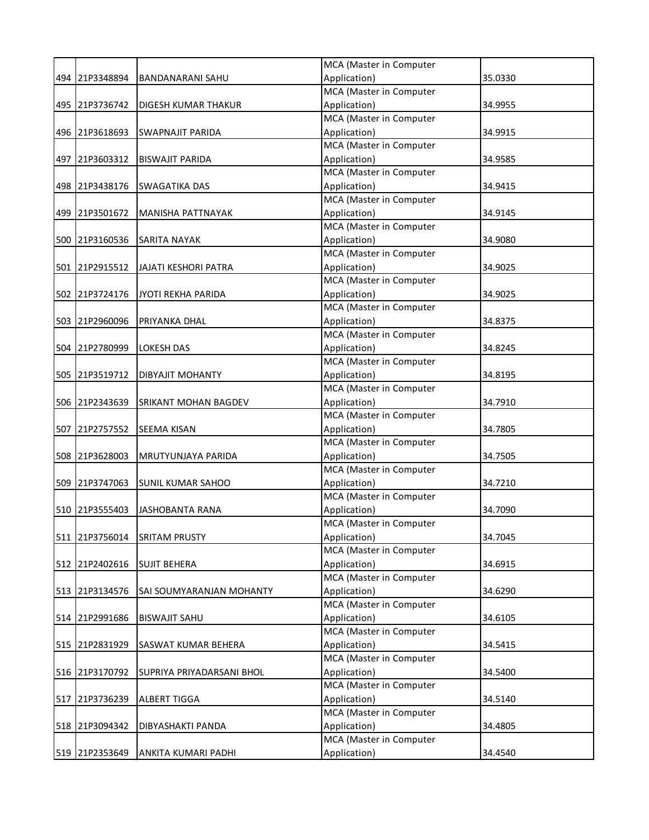|                |                             | MCA (Master in Computer                 |         |
|----------------|-----------------------------|-----------------------------------------|---------|
| 494 21P3348894 | BANDANARANI SAHU            | Application)                            | 35.0330 |
|                |                             | MCA (Master in Computer                 |         |
| 495 21P3736742 | <b>DIGESH KUMAR THAKUR</b>  | Application)                            | 34.9955 |
|                |                             | MCA (Master in Computer                 |         |
| 496 21P3618693 | SWAPNAJIT PARIDA            | Application)                            | 34.9915 |
|                |                             | MCA (Master in Computer                 |         |
| 497 21P3603312 | <b>BISWAJIT PARIDA</b>      | Application)                            | 34.9585 |
|                |                             | MCA (Master in Computer                 |         |
| 498 21P3438176 | <b>SWAGATIKA DAS</b>        | Application)                            | 34.9415 |
|                |                             | MCA (Master in Computer                 |         |
| 499 21P3501672 | MANISHA PATTNAYAK           | Application)                            | 34.9145 |
|                |                             | MCA (Master in Computer                 |         |
| 500 21P3160536 | SARITA NAYAK                | Application)                            | 34.9080 |
|                |                             | MCA (Master in Computer                 |         |
| 501 21P2915512 | <b>JAJATI KESHORI PATRA</b> | Application)                            | 34.9025 |
|                |                             | MCA (Master in Computer                 |         |
| 502 21P3724176 | JYOTI REKHA PARIDA          | Application)                            | 34.9025 |
|                |                             | MCA (Master in Computer                 |         |
| 503 21P2960096 | PRIYANKA DHAL               | Application)                            | 34.8375 |
|                |                             | MCA (Master in Computer                 |         |
| 504 21P2780999 | <b>LOKESH DAS</b>           | Application)                            | 34.8245 |
|                |                             | MCA (Master in Computer                 |         |
| 505 21P3519712 | <b>DIBYAJIT MOHANTY</b>     | Application)                            | 34.8195 |
|                |                             | MCA (Master in Computer                 |         |
| 506 21P2343639 | SRIKANT MOHAN BAGDEV        | Application)                            | 34.7910 |
|                |                             | MCA (Master in Computer                 |         |
| 507 21P2757552 | <b>SEEMA KISAN</b>          | Application)                            | 34.7805 |
|                |                             | MCA (Master in Computer                 |         |
| 508 21P3628003 | MRUTYUNJAYA PARIDA          | Application)                            | 34.7505 |
|                |                             | MCA (Master in Computer                 |         |
| 509 21P3747063 | <b>SUNIL KUMAR SAHOO</b>    | Application)                            | 34.7210 |
|                |                             | MCA (Master in Computer                 |         |
| 510 21P3555403 | <b>JASHOBANTA RANA</b>      | Application)                            | 34.7090 |
|                |                             | MCA (Master in Computer                 |         |
| 511 21P3756014 | <b>SRITAM PRUSTY</b>        | Application)                            | 34.7045 |
|                |                             | MCA (Master in Computer                 |         |
| 512 21P2402616 | <b>SUJIT BEHERA</b>         | Application)                            | 34.6915 |
|                |                             | MCA (Master in Computer                 |         |
| 513 21P3134576 | SAI SOUMYARANJAN MOHANTY    | Application)                            | 34.6290 |
|                |                             | MCA (Master in Computer                 |         |
| 514 21P2991686 | <b>BISWAJIT SAHU</b>        | Application)                            | 34.6105 |
|                |                             | MCA (Master in Computer                 |         |
| 515 21P2831929 | SASWAT KUMAR BEHERA         | Application)                            | 34.5415 |
|                |                             | MCA (Master in Computer                 |         |
| 516 21P3170792 | SUPRIYA PRIYADARSANI BHOL   | Application)                            | 34.5400 |
|                |                             | MCA (Master in Computer                 |         |
| 517 21P3736239 | ALBERT TIGGA                | Application)                            | 34.5140 |
|                |                             | MCA (Master in Computer                 |         |
| 518 21P3094342 | DIBYASHAKTI PANDA           | Application)<br>MCA (Master in Computer | 34.4805 |
|                |                             |                                         |         |
| 519 21P2353649 | ANKITA KUMARI PADHI         | Application)                            | 34.4540 |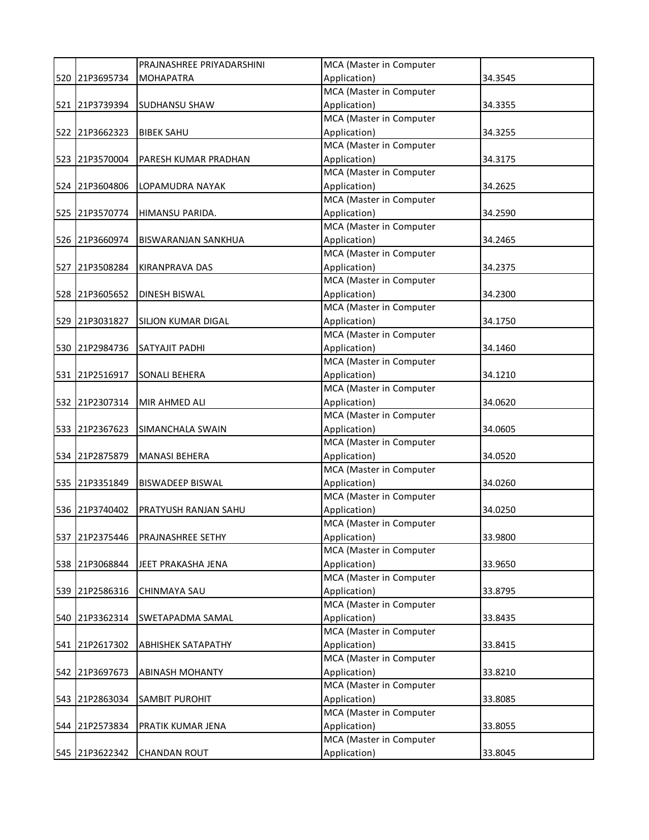|                | PRAJNASHREE PRIYADARSHINI   | MCA (Master in Computer                 |         |
|----------------|-----------------------------|-----------------------------------------|---------|
| 520 21P3695734 | <b>MOHAPATRA</b>            | Application)                            | 34.3545 |
|                |                             | MCA (Master in Computer                 |         |
| 521 21P3739394 | <b>SUDHANSU SHAW</b>        | Application)                            | 34.3355 |
|                |                             | MCA (Master in Computer                 |         |
| 522 21P3662323 | <b>BIBEK SAHU</b>           | Application)                            | 34.3255 |
|                |                             | MCA (Master in Computer                 |         |
| 523 21P3570004 | PARESH KUMAR PRADHAN        | Application)                            | 34.3175 |
|                |                             | MCA (Master in Computer                 |         |
| 524 21P3604806 | LOPAMUDRA NAYAK             | Application)                            | 34.2625 |
|                |                             | MCA (Master in Computer                 |         |
| 525 21P3570774 | HIMANSU PARIDA.             | Application)                            | 34.2590 |
|                |                             | MCA (Master in Computer                 |         |
| 526 21P3660974 | <b>BISWARANJAN SANKHUA</b>  | Application)                            | 34.2465 |
|                |                             | MCA (Master in Computer                 |         |
| 527 21P3508284 | <b>KIRANPRAVA DAS</b>       | Application)                            | 34.2375 |
|                |                             | MCA (Master in Computer                 |         |
| 528 21P3605652 | <b>DINESH BISWAL</b>        | Application)                            | 34.2300 |
|                |                             | MCA (Master in Computer                 |         |
| 529 21P3031827 | SILJON KUMAR DIGAL          | Application)                            | 34.1750 |
|                |                             | MCA (Master in Computer                 |         |
| 530 21P2984736 | <b>SATYAJIT PADHI</b>       | Application)                            | 34.1460 |
|                |                             | MCA (Master in Computer                 |         |
| 531 21P2516917 | SONALI BEHERA               | Application)                            | 34.1210 |
|                |                             | MCA (Master in Computer                 |         |
| 532 21P2307314 | MIR AHMED ALI               | Application)                            | 34.0620 |
|                |                             | MCA (Master in Computer                 |         |
| 533 21P2367623 | SIMANCHALA SWAIN            | Application)                            | 34.0605 |
|                |                             | MCA (Master in Computer<br>Application) |         |
| 534 21P2875879 | <b>MANASI BEHERA</b>        | MCA (Master in Computer                 | 34.0520 |
| 535 21P3351849 | <b>BISWADEEP BISWAL</b>     | Application)                            | 34.0260 |
|                |                             | MCA (Master in Computer                 |         |
| 536 21P3740402 | <b>PRATYUSH RANJAN SAHU</b> | Application)                            | 34.0250 |
|                |                             | MCA (Master in Computer                 |         |
| 537 21P2375446 | PRAJNASHREE SETHY           | Application)                            | 33.9800 |
|                |                             | MCA (Master in Computer                 |         |
| 538 21P3068844 | JEET PRAKASHA JENA          | Application)                            | 33.9650 |
|                |                             | MCA (Master in Computer                 |         |
| 539 21P2586316 | CHINMAYA SAU                | Application)                            | 33.8795 |
|                |                             | MCA (Master in Computer                 |         |
| 540 21P3362314 | SWETAPADMA SAMAL            | Application)                            | 33.8435 |
|                |                             | MCA (Master in Computer                 |         |
| 541 21P2617302 | <b>ABHISHEK SATAPATHY</b>   | Application)                            | 33.8415 |
|                |                             | MCA (Master in Computer                 |         |
| 542 21P3697673 | <b>ABINASH MOHANTY</b>      | Application)                            | 33.8210 |
|                |                             | MCA (Master in Computer                 |         |
| 543 21P2863034 | SAMBIT PUROHIT              | Application)                            | 33.8085 |
|                |                             | MCA (Master in Computer                 |         |
| 544 21P2573834 | PRATIK KUMAR JENA           | Application)                            | 33.8055 |
|                |                             | MCA (Master in Computer                 |         |
| 545 21P3622342 | <b>CHANDAN ROUT</b>         | Application)                            | 33.8045 |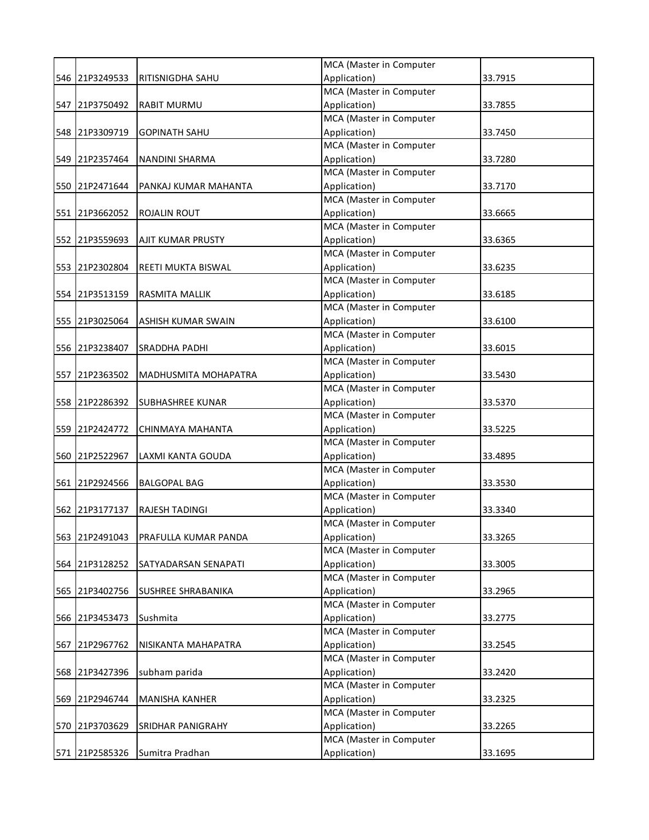|     |                |                         | MCA (Master in Computer |         |
|-----|----------------|-------------------------|-------------------------|---------|
|     | 546 21P3249533 | RITISNIGDHA SAHU        | Application)            | 33.7915 |
|     |                |                         | MCA (Master in Computer |         |
|     | 547 21P3750492 | <b>RABIT MURMU</b>      | Application)            | 33.7855 |
|     |                |                         | MCA (Master in Computer |         |
|     | 548 21P3309719 | <b>GOPINATH SAHU</b>    | Application)            | 33.7450 |
|     |                |                         | MCA (Master in Computer |         |
|     | 549 21P2357464 | <b>NANDINI SHARMA</b>   | Application)            | 33.7280 |
|     |                |                         | MCA (Master in Computer |         |
|     | 550 21P2471644 | PANKAJ KUMAR MAHANTA    | Application)            | 33.7170 |
|     |                |                         | MCA (Master in Computer |         |
|     | 551 21P3662052 | ROJALIN ROUT            | Application)            | 33.6665 |
|     |                |                         | MCA (Master in Computer |         |
|     | 552 21P3559693 | AJIT KUMAR PRUSTY       | Application)            | 33.6365 |
|     |                |                         | MCA (Master in Computer |         |
|     | 553 21P2302804 | REETI MUKTA BISWAL      | Application)            | 33.6235 |
|     |                |                         | MCA (Master in Computer |         |
|     | 554 21P3513159 | RASMITA MALLIK          | Application)            | 33.6185 |
|     |                |                         | MCA (Master in Computer |         |
|     | 555 21P3025064 | ASHISH KUMAR SWAIN      | Application)            | 33.6100 |
|     |                |                         | MCA (Master in Computer |         |
|     | 556 21P3238407 | <b>SRADDHA PADHI</b>    | Application)            | 33.6015 |
|     |                |                         | MCA (Master in Computer |         |
|     | 557 21P2363502 | MADHUSMITA MOHAPATRA    | Application)            | 33.5430 |
|     |                |                         | MCA (Master in Computer |         |
|     | 558 21P2286392 | <b>SUBHASHREE KUNAR</b> | Application)            | 33.5370 |
|     |                |                         | MCA (Master in Computer |         |
|     | 559 21P2424772 | CHINMAYA MAHANTA        | Application)            | 33.5225 |
|     |                |                         | MCA (Master in Computer |         |
|     | 560 21P2522967 | LAXMI KANTA GOUDA       | Application)            | 33.4895 |
|     |                |                         | MCA (Master in Computer |         |
|     | 561 21P2924566 | <b>BALGOPAL BAG</b>     | Application)            | 33.3530 |
|     |                |                         | MCA (Master in Computer |         |
|     | 562 21P3177137 | <b>RAJESH TADINGI</b>   | Application)            | 33.3340 |
|     |                |                         | MCA (Master in Computer |         |
|     | 563 21P2491043 | PRAFULLA KUMAR PANDA    | Application)            | 33.3265 |
|     |                |                         | MCA (Master in Computer |         |
|     | 564 21P3128252 | SATYADARSAN SENAPATI    | Application)            | 33.3005 |
|     |                |                         | MCA (Master in Computer |         |
|     | 565 21P3402756 | SUSHREE SHRABANIKA      | Application)            | 33.2965 |
|     |                |                         | MCA (Master in Computer |         |
|     | 566 21P3453473 | Sushmita                | Application)            | 33.2775 |
|     |                |                         | MCA (Master in Computer |         |
|     | 567 21P2967762 | NISIKANTA MAHAPATRA     | Application)            | 33.2545 |
|     |                |                         | MCA (Master in Computer |         |
|     | 568 21P3427396 | subham parida           | Application)            | 33.2420 |
|     |                |                         | MCA (Master in Computer |         |
| 569 | 21P2946744     | <b>MANISHA KANHER</b>   | Application)            | 33.2325 |
|     |                |                         | MCA (Master in Computer |         |
|     | 570 21P3703629 | SRIDHAR PANIGRAHY       | Application)            | 33.2265 |
|     |                |                         | MCA (Master in Computer |         |
|     | 571 21P2585326 | Sumitra Pradhan         | Application)            | 33.1695 |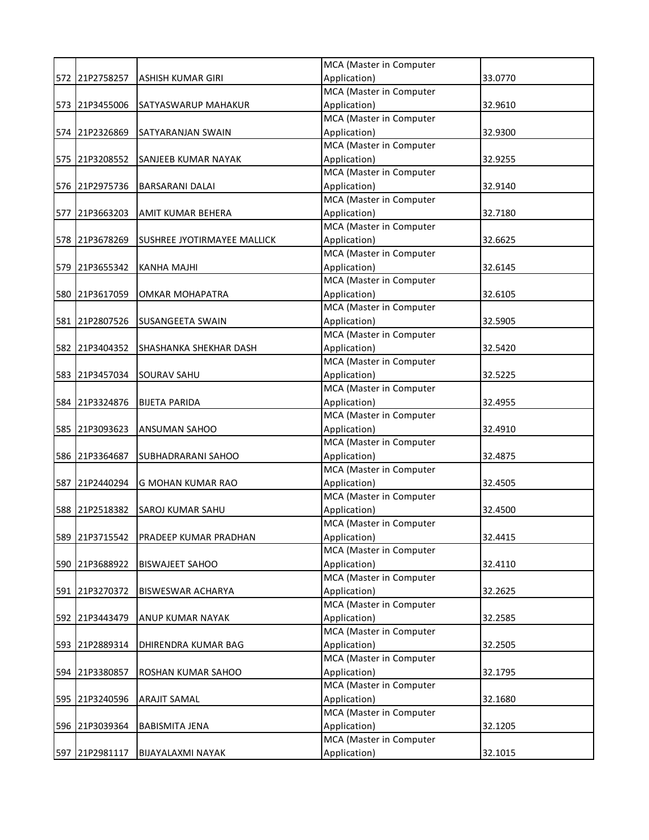|     |                |                             | MCA (Master in Computer |         |
|-----|----------------|-----------------------------|-------------------------|---------|
|     | 572 21P2758257 | <b>ASHISH KUMAR GIRI</b>    | Application)            | 33.0770 |
|     |                |                             | MCA (Master in Computer |         |
|     | 573 21P3455006 | SATYASWARUP MAHAKUR         | Application)            | 32.9610 |
|     |                |                             | MCA (Master in Computer |         |
|     | 574 21P2326869 | SATYARANJAN SWAIN           | Application)            | 32.9300 |
|     |                |                             | MCA (Master in Computer |         |
|     | 575 21P3208552 | SANJEEB KUMAR NAYAK         | Application)            | 32.9255 |
|     |                |                             | MCA (Master in Computer |         |
|     | 576 21P2975736 | <b>BARSARANI DALAI</b>      | Application)            | 32.9140 |
|     |                |                             | MCA (Master in Computer |         |
|     | 577 21P3663203 | AMIT KUMAR BEHERA           | Application)            | 32.7180 |
|     |                |                             | MCA (Master in Computer |         |
|     | 578 21P3678269 | SUSHREE JYOTIRMAYEE MALLICK | Application)            | 32.6625 |
|     |                |                             | MCA (Master in Computer |         |
|     | 579 21P3655342 | <b>KANHA MAJHI</b>          | Application)            | 32.6145 |
|     |                |                             | MCA (Master in Computer |         |
|     | 580 21P3617059 | OMKAR MOHAPATRA             | Application)            | 32.6105 |
|     |                |                             | MCA (Master in Computer |         |
|     | 581 21P2807526 | SUSANGEETA SWAIN            | Application)            | 32.5905 |
|     |                |                             | MCA (Master in Computer |         |
|     | 582 21P3404352 | SHASHANKA SHEKHAR DASH      | Application)            | 32.5420 |
|     |                |                             | MCA (Master in Computer |         |
|     | 583 21P3457034 | <b>SOURAV SAHU</b>          | Application)            | 32.5225 |
|     |                |                             | MCA (Master in Computer |         |
|     | 584 21P3324876 | <b>BIJETA PARIDA</b>        | Application)            | 32.4955 |
|     |                |                             | MCA (Master in Computer |         |
|     | 585 21P3093623 | ANSUMAN SAHOO               | Application)            | 32.4910 |
|     |                |                             | MCA (Master in Computer |         |
|     | 586 21P3364687 | SUBHADRARANI SAHOO          | Application)            | 32.4875 |
|     |                |                             | MCA (Master in Computer |         |
|     | 587 21P2440294 | G MOHAN KUMAR RAO           | Application)            | 32.4505 |
|     |                |                             | MCA (Master in Computer |         |
|     | 588 21P2518382 | SAROJ KUMAR SAHU            | Application)            | 32.4500 |
|     |                |                             | MCA (Master in Computer |         |
|     | 589 21P3715542 | PRADEEP KUMAR PRADHAN       | Application)            | 32.4415 |
|     |                |                             | MCA (Master in Computer |         |
|     | 590 21P3688922 | <b>BISWAJEET SAHOO</b>      | Application)            | 32.4110 |
|     |                |                             | MCA (Master in Computer |         |
|     | 591 21P3270372 | BISWESWAR ACHARYA           | Application)            | 32.2625 |
|     |                |                             | MCA (Master in Computer |         |
|     | 592 21P3443479 | ANUP KUMAR NAYAK            | Application)            | 32.2585 |
|     |                |                             | MCA (Master in Computer |         |
|     | 593 21P2889314 | DHIRENDRA KUMAR BAG         | Application)            | 32.2505 |
|     |                |                             | MCA (Master in Computer |         |
|     | 594 21P3380857 | ROSHAN KUMAR SAHOO          | Application)            | 32.1795 |
|     |                |                             | MCA (Master in Computer |         |
| 595 | 21P3240596     | <b>ARAJIT SAMAL</b>         | Application)            | 32.1680 |
|     |                |                             | MCA (Master in Computer |         |
|     | 596 21P3039364 | <b>BABISMITA JENA</b>       | Application)            | 32.1205 |
|     |                |                             | MCA (Master in Computer |         |
|     | 597 21P2981117 | BIJAYALAXMI NAYAK           | Application)            | 32.1015 |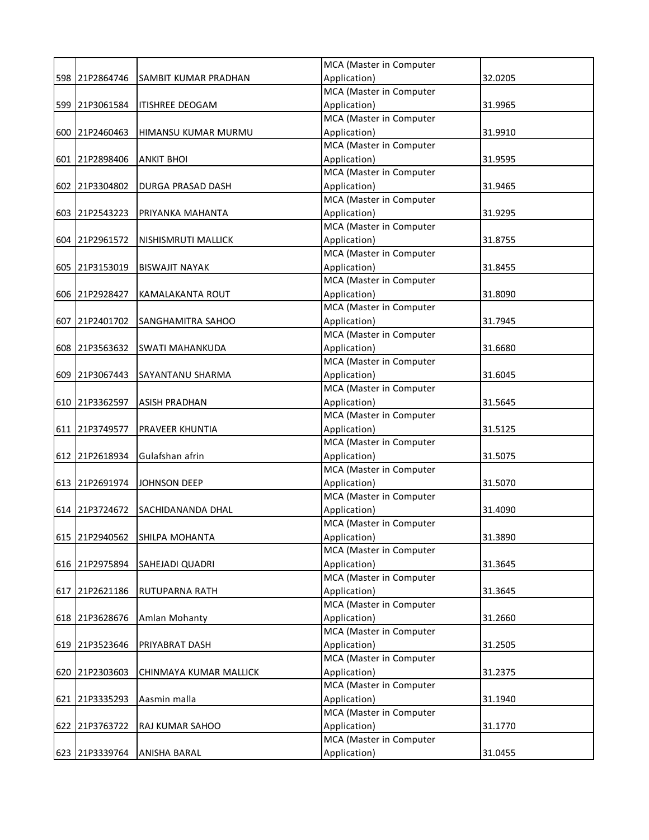|                |                             | MCA (Master in Computer                 |         |
|----------------|-----------------------------|-----------------------------------------|---------|
| 598 21P2864746 | <b>SAMBIT KUMAR PRADHAN</b> | Application)                            | 32.0205 |
|                |                             | MCA (Master in Computer                 |         |
| 599 21P3061584 | <b>ITISHREE DEOGAM</b>      | Application)                            | 31.9965 |
|                |                             | MCA (Master in Computer                 |         |
| 600 21P2460463 | HIMANSU KUMAR MURMU         | Application)                            | 31.9910 |
|                |                             | MCA (Master in Computer                 |         |
| 601 21P2898406 | <b>ANKIT BHOI</b>           | Application)                            | 31.9595 |
|                |                             | MCA (Master in Computer                 |         |
| 602 21P3304802 | <b>DURGA PRASAD DASH</b>    | Application)                            | 31.9465 |
|                |                             | MCA (Master in Computer                 |         |
| 603 21P2543223 | PRIYANKA MAHANTA            | Application)                            | 31.9295 |
|                |                             | MCA (Master in Computer                 |         |
| 604 21P2961572 | NISHISMRUTI MALLICK         | Application)                            | 31.8755 |
|                |                             | MCA (Master in Computer                 |         |
| 605 21P3153019 | <b>BISWAJIT NAYAK</b>       | Application)                            | 31.8455 |
|                |                             | MCA (Master in Computer                 |         |
| 606 21P2928427 | <b>KAMALAKANTA ROUT</b>     | Application)                            | 31.8090 |
|                |                             | MCA (Master in Computer                 |         |
| 607 21P2401702 | SANGHAMITRA SAHOO           | Application)                            | 31.7945 |
|                |                             | MCA (Master in Computer                 |         |
| 608 21P3563632 | <b>SWATI MAHANKUDA</b>      | Application)                            | 31.6680 |
|                |                             | MCA (Master in Computer                 |         |
| 609 21P3067443 | SAYANTANU SHARMA            | Application)                            | 31.6045 |
|                |                             | MCA (Master in Computer                 |         |
| 610 21P3362597 | <b>ASISH PRADHAN</b>        | Application)                            | 31.5645 |
|                |                             | MCA (Master in Computer                 |         |
| 611 21P3749577 | <b>PRAVEER KHUNTIA</b>      | Application)                            | 31.5125 |
|                |                             | MCA (Master in Computer                 |         |
| 612 21P2618934 | Gulafshan afrin             | Application)                            | 31.5075 |
|                |                             | MCA (Master in Computer                 |         |
| 613 21P2691974 | JOHNSON DEEP                | Application)                            | 31.5070 |
|                |                             | MCA (Master in Computer                 |         |
| 614 21P3724672 | SACHIDANANDA DHAL           | Application)                            | 31.4090 |
|                |                             | MCA (Master in Computer                 |         |
| 615 21P2940562 | SHILPA MOHANTA              | Application)                            | 31.3890 |
|                |                             | MCA (Master in Computer                 |         |
| 616 21P2975894 | SAHEJADI QUADRI             | Application)                            | 31.3645 |
|                |                             | MCA (Master in Computer                 |         |
| 617 21P2621186 | RUTUPARNA RATH              | Application)                            | 31.3645 |
|                |                             | MCA (Master in Computer                 |         |
| 618 21P3628676 | Amlan Mohanty               | Application)                            | 31.2660 |
|                |                             | MCA (Master in Computer                 |         |
| 619 21P3523646 | <b>PRIYABRAT DASH</b>       | Application)                            | 31.2505 |
|                |                             | MCA (Master in Computer                 |         |
| 620 21P2303603 | CHINMAYA KUMAR MALLICK      | Application)                            | 31.2375 |
|                |                             | MCA (Master in Computer                 |         |
| 621 21P3335293 | Aasmin malla                | Application)<br>MCA (Master in Computer | 31.1940 |
|                |                             |                                         |         |
| 622 21P3763722 | RAJ KUMAR SAHOO             | Application)                            | 31.1770 |
|                |                             | MCA (Master in Computer                 |         |
| 623 21P3339764 | ANISHA BARAL                | Application)                            | 31.0455 |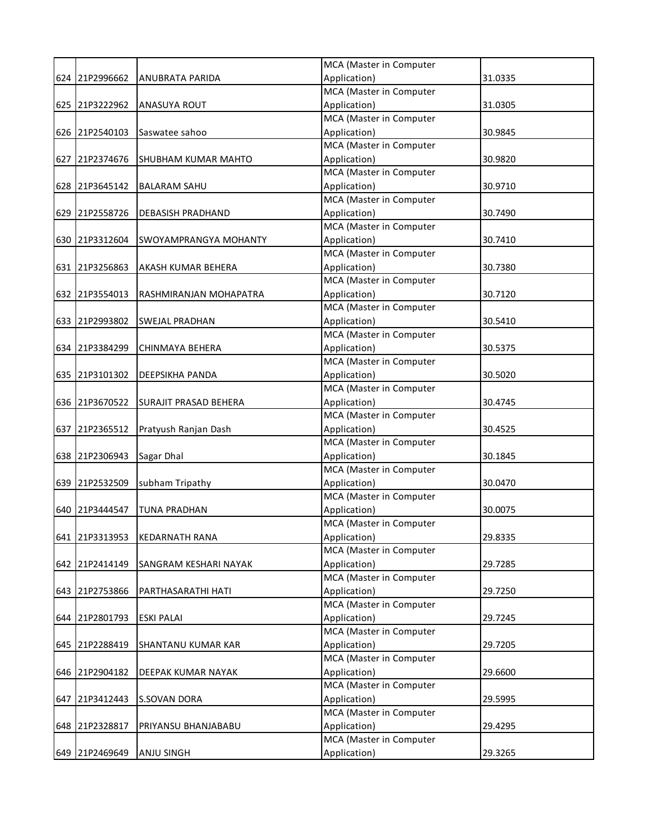|  |                |                              | MCA (Master in Computer                 |         |  |
|--|----------------|------------------------------|-----------------------------------------|---------|--|
|  | 624 21P2996662 | <b>ANUBRATA PARIDA</b>       | Application)                            | 31.0335 |  |
|  |                |                              | MCA (Master in Computer                 |         |  |
|  | 625 21P3222962 | <b>ANASUYA ROUT</b>          | Application)                            | 31.0305 |  |
|  |                |                              | MCA (Master in Computer                 |         |  |
|  | 626 21P2540103 | Saswatee sahoo               | Application)                            | 30.9845 |  |
|  |                |                              | MCA (Master in Computer                 |         |  |
|  | 627 21P2374676 | SHUBHAM KUMAR MAHTO          | Application)                            | 30.9820 |  |
|  |                |                              | MCA (Master in Computer                 |         |  |
|  | 628 21P3645142 | <b>BALARAM SAHU</b>          | Application)                            | 30.9710 |  |
|  |                |                              | MCA (Master in Computer                 |         |  |
|  | 629 21P2558726 | <b>DEBASISH PRADHAND</b>     | Application)                            | 30.7490 |  |
|  |                |                              | MCA (Master in Computer                 |         |  |
|  | 630 21P3312604 | SWOYAMPRANGYA MOHANTY        | Application)                            | 30.7410 |  |
|  |                |                              | MCA (Master in Computer                 |         |  |
|  | 631 21P3256863 | AKASH KUMAR BEHERA           | Application)                            | 30.7380 |  |
|  |                |                              | MCA (Master in Computer                 |         |  |
|  | 632 21P3554013 | RASHMIRANJAN MOHAPATRA       | Application)                            | 30.7120 |  |
|  |                |                              | MCA (Master in Computer                 |         |  |
|  | 633 21P2993802 | <b>SWEJAL PRADHAN</b>        | Application)                            | 30.5410 |  |
|  |                |                              | MCA (Master in Computer                 |         |  |
|  | 634 21P3384299 | <b>CHINMAYA BEHERA</b>       | Application)                            | 30.5375 |  |
|  |                |                              | MCA (Master in Computer                 |         |  |
|  | 635 21P3101302 | <b>DEEPSIKHA PANDA</b>       | Application)                            | 30.5020 |  |
|  |                |                              | MCA (Master in Computer                 |         |  |
|  | 636 21P3670522 | <b>SURAJIT PRASAD BEHERA</b> | Application)                            | 30.4745 |  |
|  |                |                              | MCA (Master in Computer                 |         |  |
|  | 637 21P2365512 | Pratyush Ranjan Dash         | Application)                            | 30.4525 |  |
|  |                |                              | MCA (Master in Computer                 |         |  |
|  | 638 21P2306943 | Sagar Dhal                   | Application)                            | 30.1845 |  |
|  |                |                              | MCA (Master in Computer                 |         |  |
|  | 639 21P2532509 | subham Tripathy              | Application)                            | 30.0470 |  |
|  |                |                              | MCA (Master in Computer                 |         |  |
|  | 640 21P3444547 | <b>TUNA PRADHAN</b>          | Application)                            | 30.0075 |  |
|  |                |                              | MCA (Master in Computer                 |         |  |
|  | 641 21P3313953 | <b>KEDARNATH RANA</b>        | Application)<br>MCA (Master in Computer | 29.8335 |  |
|  | 642 21P2414149 |                              | Application)                            | 29.7285 |  |
|  |                | SANGRAM KESHARI NAYAK        | MCA (Master in Computer                 |         |  |
|  | 643 21P2753866 | PARTHASARATHI HATI           | Application)                            | 29.7250 |  |
|  |                |                              | MCA (Master in Computer                 |         |  |
|  | 644 21P2801793 | <b>ESKI PALAI</b>            | Application)                            | 29.7245 |  |
|  |                |                              | MCA (Master in Computer                 |         |  |
|  | 645 21P2288419 | SHANTANU KUMAR KAR           | Application)                            | 29.7205 |  |
|  |                |                              | MCA (Master in Computer                 |         |  |
|  | 646 21P2904182 | DEEPAK KUMAR NAYAK           | Application)                            | 29.6600 |  |
|  |                |                              | MCA (Master in Computer                 |         |  |
|  | 647 21P3412443 | S.SOVAN DORA                 | Application)                            | 29.5995 |  |
|  |                |                              | MCA (Master in Computer                 |         |  |
|  | 648 21P2328817 | PRIYANSU BHANJABABU          | Application)                            | 29.4295 |  |
|  |                |                              | MCA (Master in Computer                 |         |  |
|  | 649 21P2469649 | <b>ANJU SINGH</b>            | Application)                            | 29.3265 |  |
|  |                |                              |                                         |         |  |